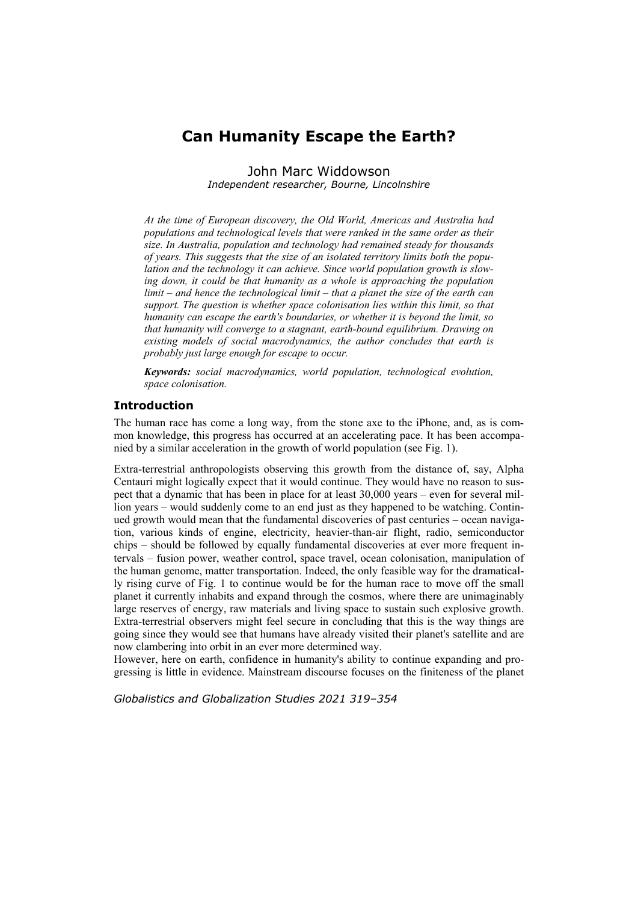# **Can Humanity Escape the Earth?**

John Marc Widdowson *Independent researcher, Bourne, Lincolnshire* 

*At the time of European discovery, the Old World, Americas and Australia had populations and technological levels that were ranked in the same order as their size. In Australia, population and technology had remained steady for thousands of years. This suggests that the size of an isolated territory limits both the population and the technology it can achieve. Since world population growth is slow*ing down, it could be that humanity as a whole is approaching the population *limit – and hence the technological limit – that a planet the size of the earth can support. The question is whether space colonisation lies within this limit, so that humanity can escape the earth's boundaries, or whether it is beyond the limit, so that humanity will converge to a stagnant, earth-bound equilibrium. Drawing on existing models of social macrodynamics, the author concludes that earth is probably just large enough for escape to occur.* 

*Keywords: social macrodynamics, world population, technological evolution, space colonisation.* 

# **Introduction**

The human race has come a long way, from the stone axe to the iPhone, and, as is common knowledge, this progress has occurred at an accelerating pace. It has been accompanied by a similar acceleration in the growth of world population (see Fig. 1).

Extra-terrestrial anthropologists observing this growth from the distance of, say, Alpha Centauri might logically expect that it would continue. They would have no reason to suspect that a dynamic that has been in place for at least 30,000 years – even for several million years – would suddenly come to an end just as they happened to be watching. Continued growth would mean that the fundamental discoveries of past centuries – ocean navigation, various kinds of engine, electricity, heavier-than-air flight, radio, semiconductor chips – should be followed by equally fundamental discoveries at ever more frequent intervals – fusion power, weather control, space travel, ocean colonisation, manipulation of the human genome, matter transportation. Indeed, the only feasible way for the dramatically rising curve of Fig. 1 to continue would be for the human race to move off the small planet it currently inhabits and expand through the cosmos, where there are unimaginably large reserves of energy, raw materials and living space to sustain such explosive growth. Extra-terrestrial observers might feel secure in concluding that this is the way things are going since they would see that humans have already visited their planet's satellite and are now clambering into orbit in an ever more determined way.

However, here on earth, confidence in humanity's ability to continue expanding and progressing is little in evidence. Mainstream discourse focuses on the finiteness of the planet

*Globalistics and Globalization Studies 2021 319–354*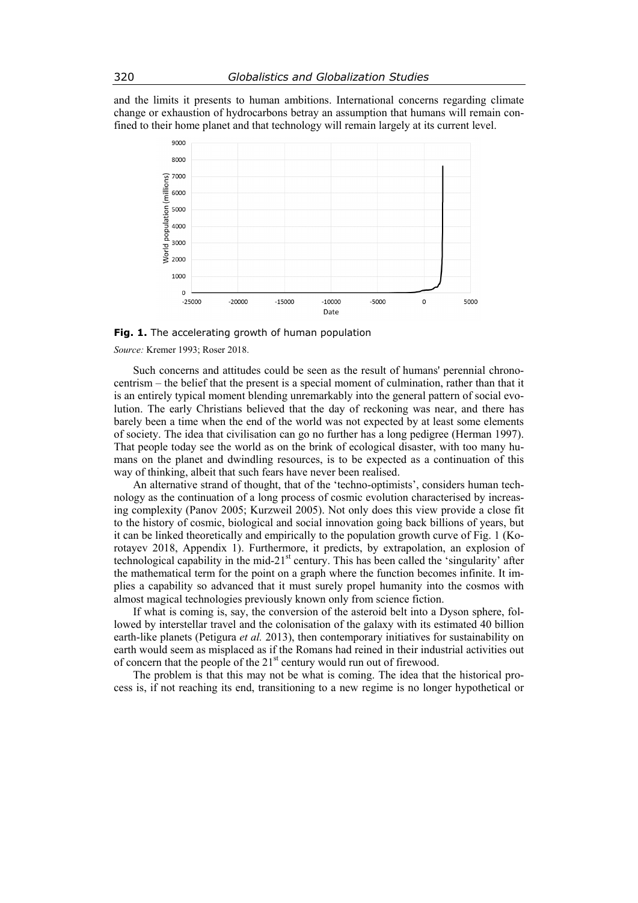and the limits it presents to human ambitions. International concerns regarding climate change or exhaustion of hydrocarbons betray an assumption that humans will remain confined to their home planet and that technology will remain largely at its current level.



**Fig. 1.** The accelerating growth of human population

*Source:* Kremer 1993; Roser 2018.

Such concerns and attitudes could be seen as the result of humans' perennial chronocentrism – the belief that the present is a special moment of culmination, rather than that it is an entirely typical moment blending unremarkably into the general pattern of social evolution. The early Christians believed that the day of reckoning was near, and there has barely been a time when the end of the world was not expected by at least some elements of society. The idea that civilisation can go no further has a long pedigree (Herman 1997). That people today see the world as on the brink of ecological disaster, with too many humans on the planet and dwindling resources, is to be expected as a continuation of this way of thinking, albeit that such fears have never been realised.

An alternative strand of thought, that of the 'techno-optimists', considers human technology as the continuation of a long process of cosmic evolution characterised by increasing complexity (Panov 2005; Kurzweil 2005). Not only does this view provide a close fit to the history of cosmic, biological and social innovation going back billions of years, but it can be linked theoretically and empirically to the population growth curve of Fig. 1 (Korotayev 2018, Appendix 1). Furthermore, it predicts, by extrapolation, an explosion of technological capability in the mid-21<sup>st</sup> century. This has been called the 'singularity' after the mathematical term for the point on a graph where the function becomes infinite. It implies a capability so advanced that it must surely propel humanity into the cosmos with almost magical technologies previously known only from science fiction.

If what is coming is, say, the conversion of the asteroid belt into a Dyson sphere, followed by interstellar travel and the colonisation of the galaxy with its estimated 40 billion earth-like planets (Petigura *et al.* 2013), then contemporary initiatives for sustainability on earth would seem as misplaced as if the Romans had reined in their industrial activities out of concern that the people of the  $21<sup>st</sup>$  century would run out of firewood.

The problem is that this may not be what is coming. The idea that the historical process is, if not reaching its end, transitioning to a new regime is no longer hypothetical or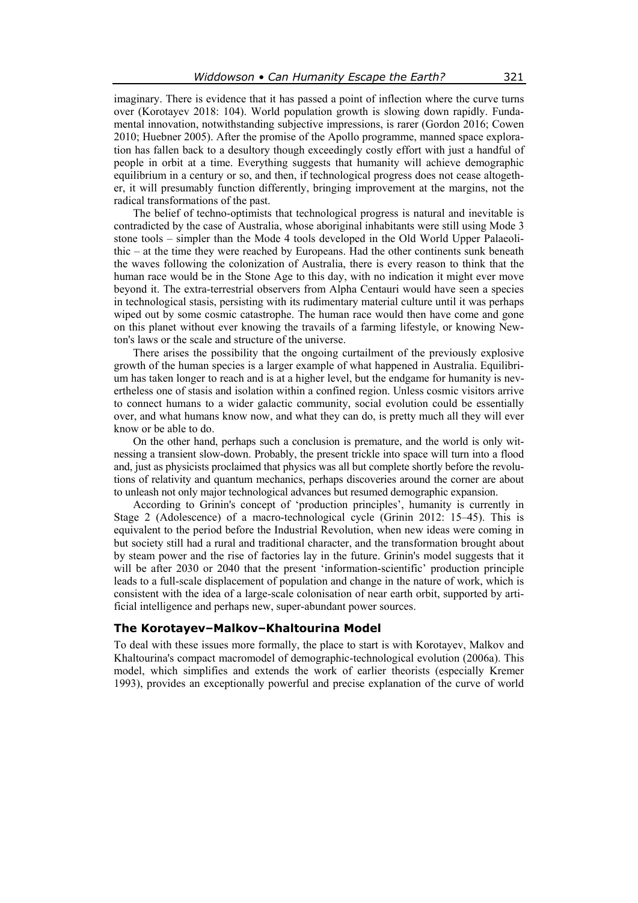imaginary. There is evidence that it has passed a point of inflection where the curve turns over (Korotayev 2018: 104). World population growth is slowing down rapidly. Fundamental innovation, notwithstanding subjective impressions, is rarer (Gordon 2016; Cowen 2010; Huebner 2005). After the promise of the Apollo programme, manned space exploration has fallen back to a desultory though exceedingly costly effort with just a handful of people in orbit at a time. Everything suggests that humanity will achieve demographic equilibrium in a century or so, and then, if technological progress does not cease altogether, it will presumably function differently, bringing improvement at the margins, not the radical transformations of the past.

The belief of techno-optimists that technological progress is natural and inevitable is contradicted by the case of Australia, whose aboriginal inhabitants were still using Mode 3 stone tools – simpler than the Mode 4 tools developed in the Old World Upper Palaeolithic – at the time they were reached by Europeans. Had the other continents sunk beneath the waves following the colonization of Australia, there is every reason to think that the human race would be in the Stone Age to this day, with no indication it might ever move beyond it. The extra-terrestrial observers from Alpha Centauri would have seen a species in technological stasis, persisting with its rudimentary material culture until it was perhaps wiped out by some cosmic catastrophe. The human race would then have come and gone on this planet without ever knowing the travails of a farming lifestyle, or knowing Newton's laws or the scale and structure of the universe.

There arises the possibility that the ongoing curtailment of the previously explosive growth of the human species is a larger example of what happened in Australia. Equilibrium has taken longer to reach and is at a higher level, but the endgame for humanity is nevertheless one of stasis and isolation within a confined region. Unless cosmic visitors arrive to connect humans to a wider galactic community, social evolution could be essentially over, and what humans know now, and what they can do, is pretty much all they will ever know or be able to do.

On the other hand, perhaps such a conclusion is premature, and the world is only witnessing a transient slow-down. Probably, the present trickle into space will turn into a flood and, just as physicists proclaimed that physics was all but complete shortly before the revolutions of relativity and quantum mechanics, perhaps discoveries around the corner are about to unleash not only major technological advances but resumed demographic expansion.

According to Grinin's concept of 'production principles', humanity is currently in Stage 2 (Adolescence) of a macro-technological cycle (Grinin 2012: 15–45). This is equivalent to the period before the Industrial Revolution, when new ideas were coming in but society still had a rural and traditional character, and the transformation brought about by steam power and the rise of factories lay in the future. Grinin's model suggests that it will be after 2030 or 2040 that the present 'information-scientific' production principle leads to a full-scale displacement of population and change in the nature of work, which is consistent with the idea of a large-scale colonisation of near earth orbit, supported by artificial intelligence and perhaps new, super-abundant power sources.

### **The Korotayev–Malkov–Khaltourina Model**

To deal with these issues more formally, the place to start is with Korotayev, Malkov and Khaltourina's compact macromodel of demographic-technological evolution (2006a). This model, which simplifies and extends the work of earlier theorists (especially Kremer 1993), provides an exceptionally powerful and precise explanation of the curve of world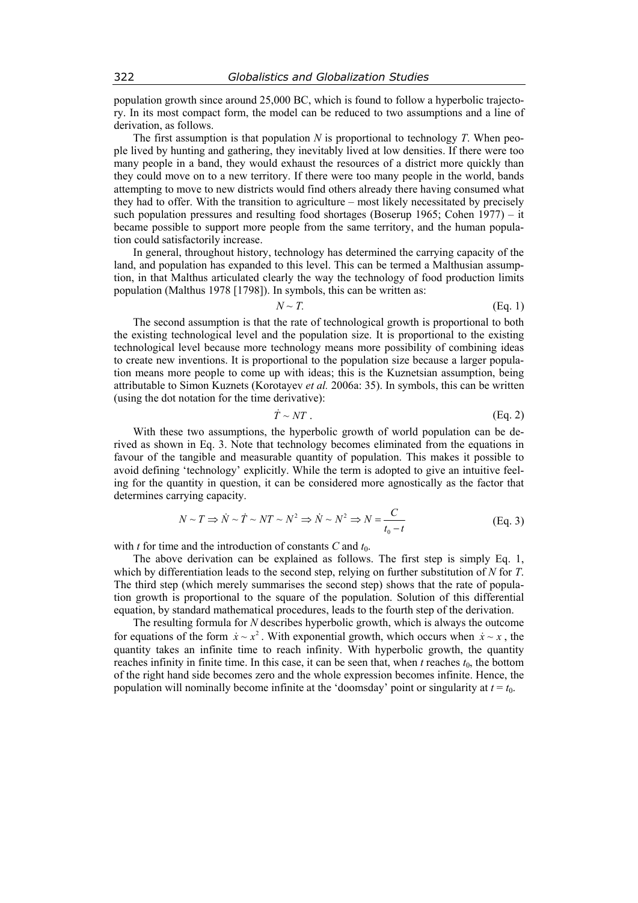population growth since around 25,000 BC, which is found to follow a hyperbolic trajectory. In its most compact form, the model can be reduced to two assumptions and a line of derivation, as follows.

The first assumption is that population *N* is proportional to technology *T*. When people lived by hunting and gathering, they inevitably lived at low densities. If there were too many people in a band, they would exhaust the resources of a district more quickly than they could move on to a new territory. If there were too many people in the world, bands attempting to move to new districts would find others already there having consumed what they had to offer. With the transition to agriculture – most likely necessitated by precisely such population pressures and resulting food shortages (Boserup 1965; Cohen 1977) – it became possible to support more people from the same territory, and the human population could satisfactorily increase.

In general, throughout history, technology has determined the carrying capacity of the land, and population has expanded to this level. This can be termed a Malthusian assumption, in that Malthus articulated clearly the way the technology of food production limits population (Malthus 1978 [1798]). In symbols, this can be written as:

$$
N \sim T. \tag{Eq. 1}
$$

The second assumption is that the rate of technological growth is proportional to both the existing technological level and the population size. It is proportional to the existing technological level because more technology means more possibility of combining ideas to create new inventions. It is proportional to the population size because a larger population means more people to come up with ideas; this is the Kuznetsian assumption, being attributable to Simon Kuznets (Korotayev *et al.* 2006a: 35). In symbols, this can be written (using the dot notation for the time derivative):

$$
\dot{T} \sim NT \tag{Eq. 2}
$$

With these two assumptions, the hyperbolic growth of world population can be derived as shown in Eq. 3. Note that technology becomes eliminated from the equations in favour of the tangible and measurable quantity of population. This makes it possible to avoid defining 'technology' explicitly. While the term is adopted to give an intuitive feeling for the quantity in question, it can be considered more agnostically as the factor that determines carrying capacity.

$$
N \sim T \Rightarrow \dot{N} \sim \dot{T} \sim NT \sim N^2 \Rightarrow \dot{N} \sim N^2 \Rightarrow N = \frac{C}{t_0 - t}
$$
 (Eq. 3)

with  $t$  for time and the introduction of constants  $C$  and  $t_0$ .

The above derivation can be explained as follows. The first step is simply Eq. 1, which by differentiation leads to the second step, relying on further substitution of *N* for *T*. The third step (which merely summarises the second step) shows that the rate of population growth is proportional to the square of the population. Solution of this differential equation, by standard mathematical procedures, leads to the fourth step of the derivation.

The resulting formula for *N* describes hyperbolic growth, which is always the outcome for equations of the form  $\dot{x} \sim x^2$ . With exponential growth, which occurs when  $\dot{x} \sim x$ , the quantity takes an infinite time to reach infinity. With hyperbolic growth, the quantity reaches infinity in finite time. In this case, it can be seen that, when  $t$  reaches  $t_0$ , the bottom of the right hand side becomes zero and the whole expression becomes infinite. Hence, the population will nominally become infinite at the 'doomsday' point or singularity at  $t = t_0$ .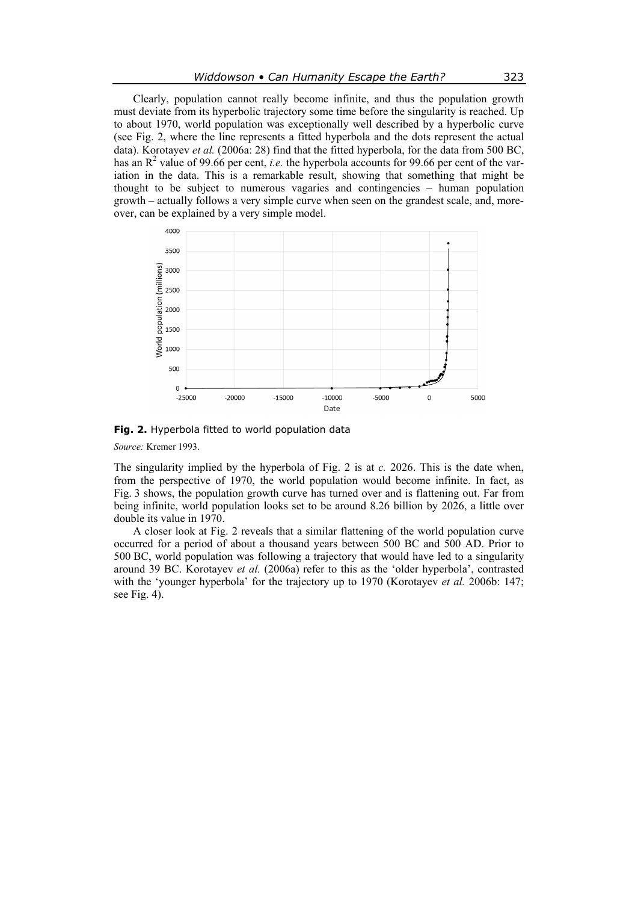Clearly, population cannot really become infinite, and thus the population growth must deviate from its hyperbolic trajectory some time before the singularity is reached. Up to about 1970, world population was exceptionally well described by a hyperbolic curve (see Fig. 2, where the line represents a fitted hyperbola and the dots represent the actual data). Korotayev *et al.* (2006a: 28) find that the fitted hyperbola, for the data from 500 BC, has an  $\mathbb{R}^2$  value of 99.66 per cent, *i.e.* the hyperbola accounts for 99.66 per cent of the variation in the data. This is a remarkable result, showing that something that might be thought to be subject to numerous vagaries and contingencies – human population growth – actually follows a very simple curve when seen on the grandest scale, and, moreover, can be explained by a very simple model.



**Fig. 2.** Hyperbola fitted to world population data

*Source:* Kremer 1993.

The singularity implied by the hyperbola of Fig. 2 is at *c.* 2026. This is the date when, from the perspective of 1970, the world population would become infinite. In fact, as Fig. 3 shows, the population growth curve has turned over and is flattening out. Far from being infinite, world population looks set to be around 8.26 billion by 2026, a little over double its value in 1970.

A closer look at Fig. 2 reveals that a similar flattening of the world population curve occurred for a period of about a thousand years between 500 BC and 500 AD. Prior to 500 BC, world population was following a trajectory that would have led to a singularity around 39 BC. Korotayev *et al.* (2006a) refer to this as the 'older hyperbola', contrasted with the 'younger hyperbola' for the trajectory up to 1970 (Korotayev *et al.* 2006b: 147; see Fig. 4).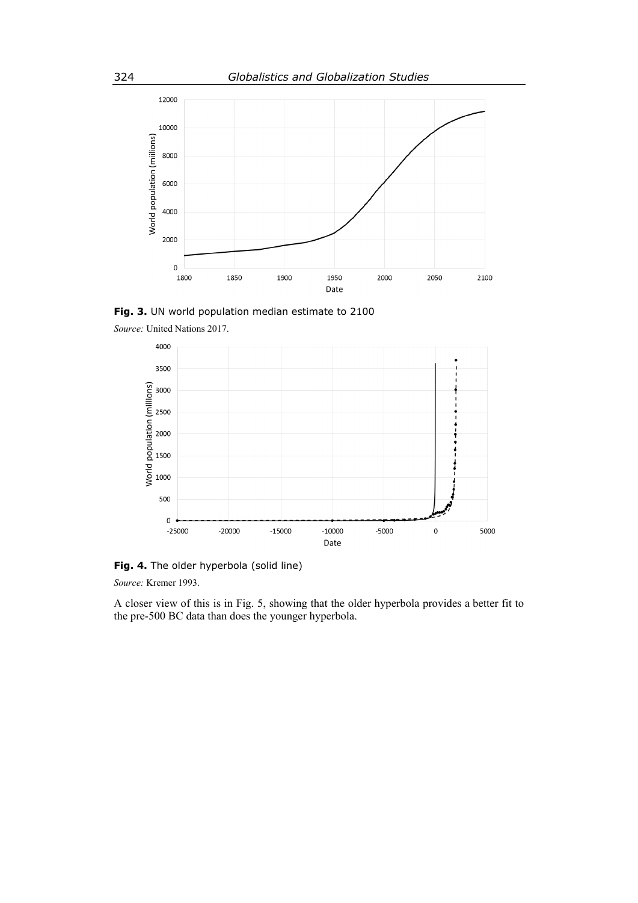

**Fig. 3.** UN world population median estimate to 2100





**Fig. 4.** The older hyperbola (solid line)

*Source:* Kremer 1993.

A closer view of this is in Fig. 5, showing that the older hyperbola provides a better fit to the pre-500 BC data than does the younger hyperbola.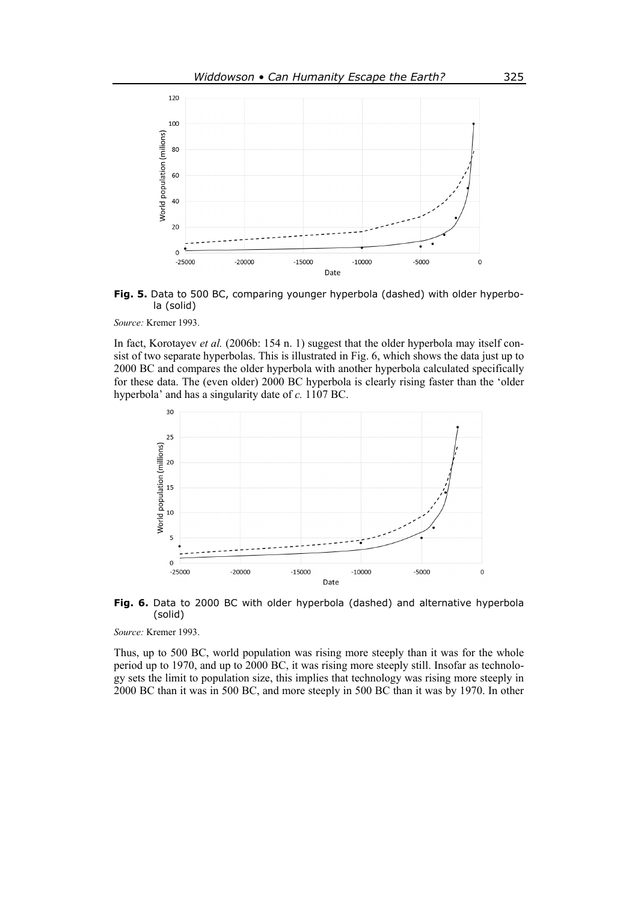



*Source:* Kremer 1993.

In fact, Korotayev *et al.* (2006b: 154 n. 1) suggest that the older hyperbola may itself consist of two separate hyperbolas. This is illustrated in Fig. 6, which shows the data just up to 2000 BC and compares the older hyperbola with another hyperbola calculated specifically for these data. The (even older) 2000 BC hyperbola is clearly rising faster than the 'older hyperbola' and has a singularity date of *c.* 1107 BC.





*Source:* Kremer 1993.

Thus, up to 500 BC, world population was rising more steeply than it was for the whole period up to 1970, and up to 2000 BC, it was rising more steeply still. Insofar as technology sets the limit to population size, this implies that technology was rising more steeply in 2000 BC than it was in 500 BC, and more steeply in 500 BC than it was by 1970. In other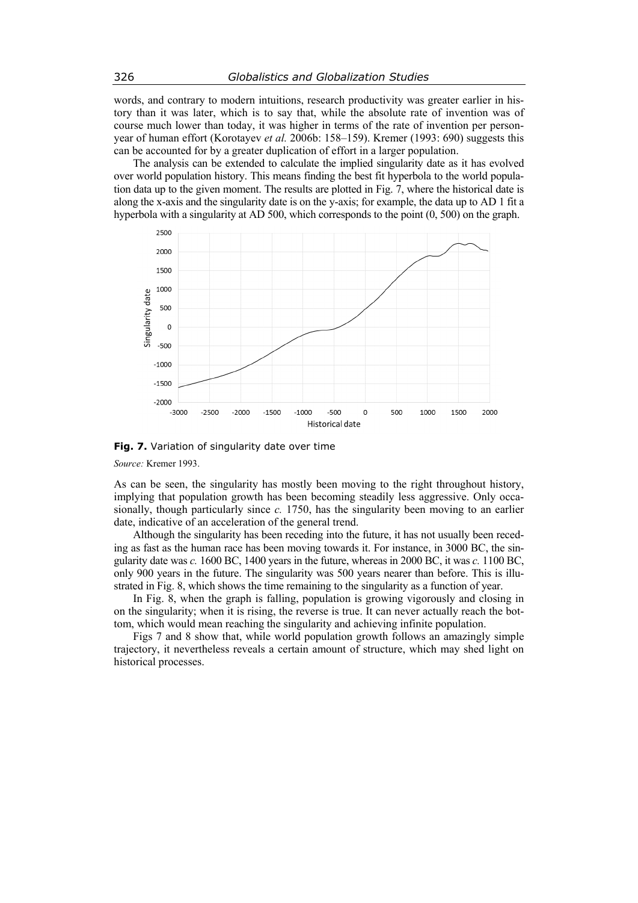words, and contrary to modern intuitions, research productivity was greater earlier in history than it was later, which is to say that, while the absolute rate of invention was of course much lower than today, it was higher in terms of the rate of invention per personyear of human effort (Korotayev *et al.* 2006b: 158–159). Kremer (1993: 690) suggests this can be accounted for by a greater duplication of effort in a larger population.

The analysis can be extended to calculate the implied singularity date as it has evolved over world population history. This means finding the best fit hyperbola to the world population data up to the given moment. The results are plotted in Fig. 7, where the historical date is along the x-axis and the singularity date is on the y-axis; for example, the data up to AD 1 fit a hyperbola with a singularity at AD 500, which corresponds to the point (0, 500) on the graph.



**Fig. 7.** Variation of singularity date over time

*Source:* Kremer 1993.

As can be seen, the singularity has mostly been moving to the right throughout history, implying that population growth has been becoming steadily less aggressive. Only occasionally, though particularly since *c.* 1750, has the singularity been moving to an earlier date, indicative of an acceleration of the general trend.

Although the singularity has been receding into the future, it has not usually been receding as fast as the human race has been moving towards it. For instance, in 3000 BC, the singularity date was *c.* 1600 BC, 1400 years in the future, whereas in 2000 BC, it was *c.* 1100 BC, only 900 years in the future. The singularity was 500 years nearer than before. This is illustrated in Fig. 8, which shows the time remaining to the singularity as a function of year.

In Fig. 8, when the graph is falling, population is growing vigorously and closing in on the singularity; when it is rising, the reverse is true. It can never actually reach the bottom, which would mean reaching the singularity and achieving infinite population.

Figs 7 and 8 show that, while world population growth follows an amazingly simple trajectory, it nevertheless reveals a certain amount of structure, which may shed light on historical processes.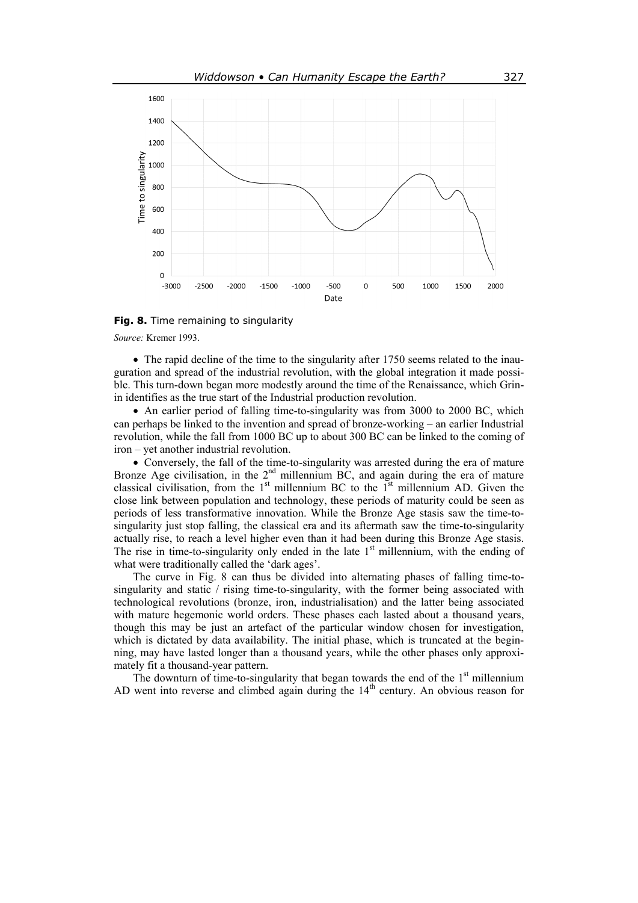

**Fig. 8.** Time remaining to singularity

*Source:* Kremer 1993.

• The rapid decline of the time to the singularity after 1750 seems related to the inauguration and spread of the industrial revolution, with the global integration it made possible. This turn-down began more modestly around the time of the Renaissance, which Grinin identifies as the true start of the Industrial production revolution.

 An earlier period of falling time-to-singularity was from 3000 to 2000 BC, which can perhaps be linked to the invention and spread of bronze-working – an earlier Industrial revolution, while the fall from 1000 BC up to about 300 BC can be linked to the coming of iron – yet another industrial revolution.

 Conversely, the fall of the time-to-singularity was arrested during the era of mature Bronze Age civilisation, in the  $2<sup>nd</sup>$  millennium BC, and again during the era of mature classical civilisation, from the  $1<sup>st</sup>$  millennium BC to the  $1<sup>st</sup>$  millennium AD. Given the close link between population and technology, these periods of maturity could be seen as periods of less transformative innovation. While the Bronze Age stasis saw the time-tosingularity just stop falling, the classical era and its aftermath saw the time-to-singularity actually rise, to reach a level higher even than it had been during this Bronze Age stasis. The rise in time-to-singularity only ended in the late  $1<sup>st</sup>$  millennium, with the ending of what were traditionally called the 'dark ages'.

The curve in Fig. 8 can thus be divided into alternating phases of falling time-tosingularity and static / rising time-to-singularity, with the former being associated with technological revolutions (bronze, iron, industrialisation) and the latter being associated with mature hegemonic world orders. These phases each lasted about a thousand years, though this may be just an artefact of the particular window chosen for investigation, which is dictated by data availability. The initial phase, which is truncated at the beginning, may have lasted longer than a thousand years, while the other phases only approximately fit a thousand-year pattern.

The downturn of time-to-singularity that began towards the end of the  $1<sup>st</sup>$  millennium AD went into reverse and climbed again during the  $14<sup>th</sup>$  century. An obvious reason for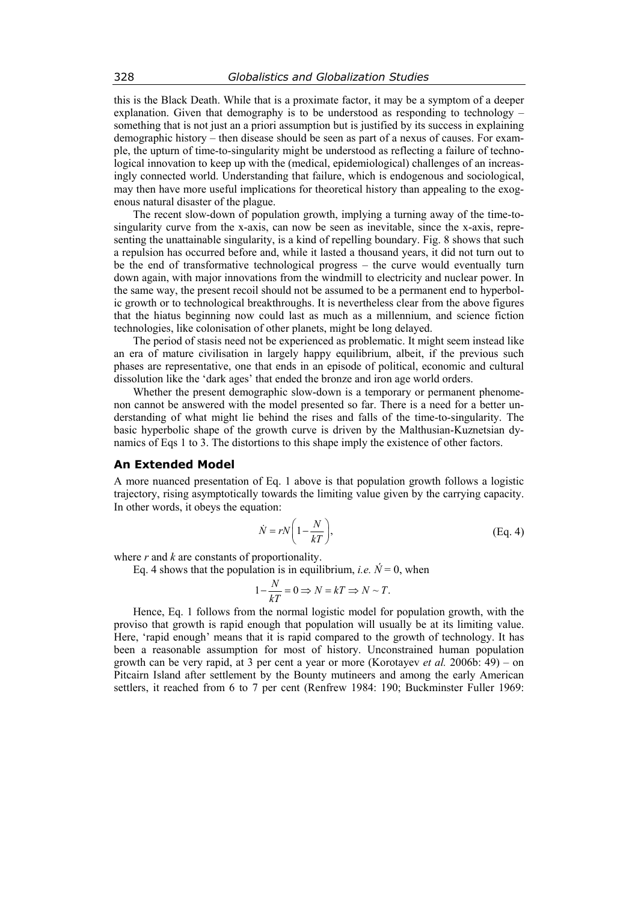this is the Black Death. While that is a proximate factor, it may be a symptom of a deeper explanation. Given that demography is to be understood as responding to technology – something that is not just an a priori assumption but is justified by its success in explaining demographic history – then disease should be seen as part of a nexus of causes. For example, the upturn of time-to-singularity might be understood as reflecting a failure of technological innovation to keep up with the (medical, epidemiological) challenges of an increasingly connected world. Understanding that failure, which is endogenous and sociological, may then have more useful implications for theoretical history than appealing to the exogenous natural disaster of the plague.

The recent slow-down of population growth, implying a turning away of the time-tosingularity curve from the x-axis, can now be seen as inevitable, since the x-axis, representing the unattainable singularity, is a kind of repelling boundary. Fig. 8 shows that such a repulsion has occurred before and, while it lasted a thousand years, it did not turn out to be the end of transformative technological progress – the curve would eventually turn down again, with major innovations from the windmill to electricity and nuclear power. In the same way, the present recoil should not be assumed to be a permanent end to hyperbolic growth or to technological breakthroughs. It is nevertheless clear from the above figures that the hiatus beginning now could last as much as a millennium, and science fiction technologies, like colonisation of other planets, might be long delayed.

The period of stasis need not be experienced as problematic. It might seem instead like an era of mature civilisation in largely happy equilibrium, albeit, if the previous such phases are representative, one that ends in an episode of political, economic and cultural dissolution like the 'dark ages' that ended the bronze and iron age world orders.

Whether the present demographic slow-down is a temporary or permanent phenomenon cannot be answered with the model presented so far. There is a need for a better understanding of what might lie behind the rises and falls of the time-to-singularity. The basic hyperbolic shape of the growth curve is driven by the Malthusian-Kuznetsian dynamics of Eqs 1 to 3. The distortions to this shape imply the existence of other factors.

## **An Extended Model**

A more nuanced presentation of Eq. 1 above is that population growth follows a logistic trajectory, rising asymptotically towards the limiting value given by the carrying capacity. In other words, it obeys the equation:

$$
\dot{N} = rN\bigg(1 - \frac{N}{kT}\bigg),\tag{Eq. 4}
$$

where *r* and *k* are constants of proportionality.

Eq. 4 shows that the population is in equilibrium, *i.e.*  $N = 0$ , when

$$
1 - \frac{N}{kT} = 0 \Rightarrow N = kT \Rightarrow N \sim T.
$$

Hence, Eq. 1 follows from the normal logistic model for population growth, with the proviso that growth is rapid enough that population will usually be at its limiting value. Here, 'rapid enough' means that it is rapid compared to the growth of technology. It has been a reasonable assumption for most of history. Unconstrained human population growth can be very rapid, at 3 per cent a year or more (Korotayev *et al.* 2006b: 49) – on Pitcairn Island after settlement by the Bounty mutineers and among the early American settlers, it reached from 6 to 7 per cent (Renfrew 1984: 190; Buckminster Fuller 1969: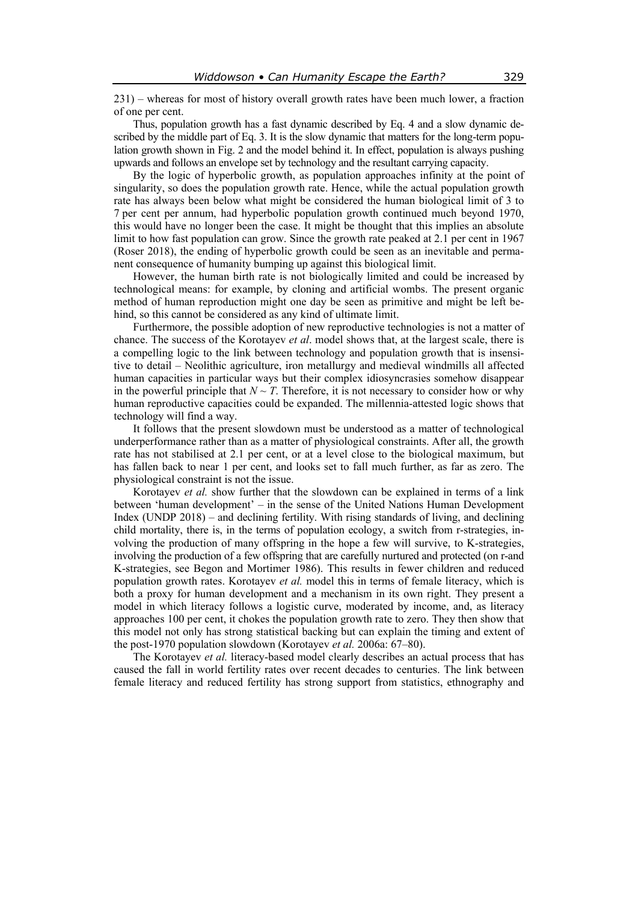231) – whereas for most of history overall growth rates have been much lower, a fraction of one per cent.

Thus, population growth has a fast dynamic described by Eq. 4 and a slow dynamic described by the middle part of Eq. 3. It is the slow dynamic that matters for the long-term population growth shown in Fig. 2 and the model behind it. In effect, population is always pushing upwards and follows an envelope set by technology and the resultant carrying capacity.

By the logic of hyperbolic growth, as population approaches infinity at the point of singularity, so does the population growth rate. Hence, while the actual population growth rate has always been below what might be considered the human biological limit of 3 to 7 per cent per annum, had hyperbolic population growth continued much beyond 1970, this would have no longer been the case. It might be thought that this implies an absolute limit to how fast population can grow. Since the growth rate peaked at 2.1 per cent in 1967 (Roser 2018), the ending of hyperbolic growth could be seen as an inevitable and permanent consequence of humanity bumping up against this biological limit.

However, the human birth rate is not biologically limited and could be increased by technological means: for example, by cloning and artificial wombs. The present organic method of human reproduction might one day be seen as primitive and might be left behind, so this cannot be considered as any kind of ultimate limit.

Furthermore, the possible adoption of new reproductive technologies is not a matter of chance. The success of the Korotayev *et al*. model shows that, at the largest scale, there is a compelling logic to the link between technology and population growth that is insensitive to detail – Neolithic agriculture, iron metallurgy and medieval windmills all affected human capacities in particular ways but their complex idiosyncrasies somehow disappear in the powerful principle that  $N \sim T$ . Therefore, it is not necessary to consider how or why human reproductive capacities could be expanded. The millennia-attested logic shows that technology will find a way.

It follows that the present slowdown must be understood as a matter of technological underperformance rather than as a matter of physiological constraints. After all, the growth rate has not stabilised at 2.1 per cent, or at a level close to the biological maximum, but has fallen back to near 1 per cent, and looks set to fall much further, as far as zero. The physiological constraint is not the issue.

Korotayev *et al.* show further that the slowdown can be explained in terms of a link between 'human development' – in the sense of the United Nations Human Development Index (UNDP 2018) – and declining fertility. With rising standards of living, and declining child mortality, there is, in the terms of population ecology, a switch from r-strategies, involving the production of many offspring in the hope a few will survive, to K-strategies, involving the production of a few offspring that are carefully nurtured and protected (on r-and K-strategies, see Begon and Mortimer 1986). This results in fewer children and reduced population growth rates. Korotayev *et al.* model this in terms of female literacy, which is both a proxy for human development and a mechanism in its own right. They present a model in which literacy follows a logistic curve, moderated by income, and, as literacy approaches 100 per cent, it chokes the population growth rate to zero. They then show that this model not only has strong statistical backing but can explain the timing and extent of the post-1970 population slowdown (Korotayev *et al.* 2006a: 67–80).

The Korotayev *et al.* literacy-based model clearly describes an actual process that has caused the fall in world fertility rates over recent decades to centuries. The link between female literacy and reduced fertility has strong support from statistics, ethnography and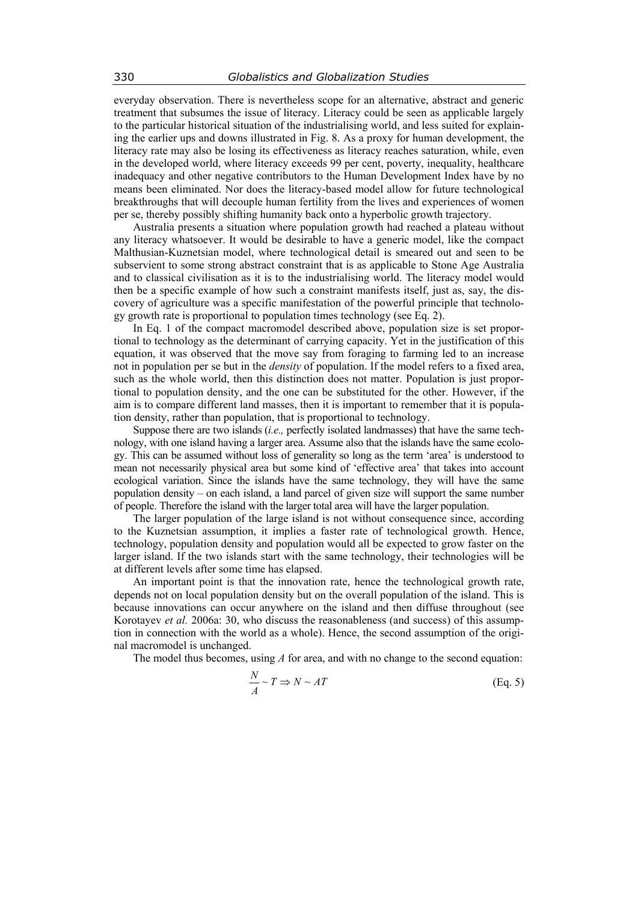everyday observation. There is nevertheless scope for an alternative, abstract and generic treatment that subsumes the issue of literacy. Literacy could be seen as applicable largely to the particular historical situation of the industrialising world, and less suited for explaining the earlier ups and downs illustrated in Fig. 8. As a proxy for human development, the literacy rate may also be losing its effectiveness as literacy reaches saturation, while, even in the developed world, where literacy exceeds 99 per cent, poverty, inequality, healthcare inadequacy and other negative contributors to the Human Development Index have by no means been eliminated. Nor does the literacy-based model allow for future technological breakthroughs that will decouple human fertility from the lives and experiences of women per se, thereby possibly shifting humanity back onto a hyperbolic growth trajectory.

Australia presents a situation where population growth had reached a plateau without any literacy whatsoever. It would be desirable to have a generic model, like the compact Malthusian-Kuznetsian model, where technological detail is smeared out and seen to be subservient to some strong abstract constraint that is as applicable to Stone Age Australia and to classical civilisation as it is to the industrialising world. The literacy model would then be a specific example of how such a constraint manifests itself, just as, say, the discovery of agriculture was a specific manifestation of the powerful principle that technology growth rate is proportional to population times technology (see Eq. 2).

In Eq. 1 of the compact macromodel described above, population size is set proportional to technology as the determinant of carrying capacity. Yet in the justification of this equation, it was observed that the move say from foraging to farming led to an increase not in population per se but in the *density* of population. If the model refers to a fixed area, such as the whole world, then this distinction does not matter. Population is just proportional to population density, and the one can be substituted for the other. However, if the aim is to compare different land masses, then it is important to remember that it is population density, rather than population, that is proportional to technology.

Suppose there are two islands (*i.e.,* perfectly isolated landmasses) that have the same technology, with one island having a larger area. Assume also that the islands have the same ecology. This can be assumed without loss of generality so long as the term 'area' is understood to mean not necessarily physical area but some kind of 'effective area' that takes into account ecological variation. Since the islands have the same technology, they will have the same population density – on each island, a land parcel of given size will support the same number of people. Therefore the island with the larger total area will have the larger population.

The larger population of the large island is not without consequence since, according to the Kuznetsian assumption, it implies a faster rate of technological growth. Hence, technology, population density and population would all be expected to grow faster on the larger island. If the two islands start with the same technology, their technologies will be at different levels after some time has elapsed.

An important point is that the innovation rate, hence the technological growth rate, depends not on local population density but on the overall population of the island. This is because innovations can occur anywhere on the island and then diffuse throughout (see Korotayev *et al.* 2006a: 30, who discuss the reasonableness (and success) of this assumption in connection with the world as a whole). Hence, the second assumption of the original macromodel is unchanged.

The model thus becomes, using *A* for area, and with no change to the second equation:

$$
\frac{N}{A} \sim T \Rightarrow N \sim AT
$$
 (Eq. 5)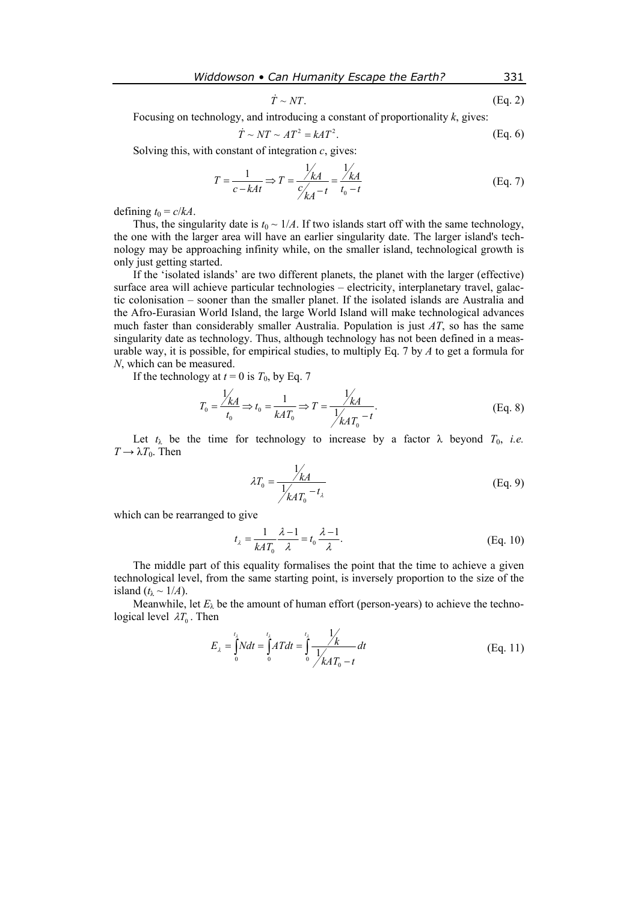$$
\dot{T} \sim NT. \tag{Eq. 2}
$$

Focusing on technology, and introducing a constant of proportionality *k*, gives:

$$
\dot{T} \sim NT \sim AT^2 = kAT^2. \tag{Eq. 6}
$$

Solving this, with constant of integration *с*, gives:

$$
T = \frac{1}{c - kAt} \Rightarrow T = \frac{\frac{1}{k}}{\frac{C}{k}} = \frac{\frac{1}{k}}{t_0 - t}
$$
(Eq. 7)

defining  $t_0 = c/kA$ .

Thus, the singularity date is  $t_0 \sim 1/A$ . If two islands start off with the same technology, the one with the larger area will have an earlier singularity date. The larger island's technology may be approaching infinity while, on the smaller island, technological growth is only just getting started.

If the 'isolated islands' are two different planets, the planet with the larger (effective) surface area will achieve particular technologies – electricity, interplanetary travel, galactic colonisation – sooner than the smaller planet. If the isolated islands are Australia and the Afro-Eurasian World Island, the large World Island will make technological advances much faster than considerably smaller Australia. Population is just *AT*, so has the same singularity date as technology. Thus, although technology has not been defined in a measurable way, it is possible, for empirical studies, to multiply Eq. 7 by *A* to get a formula for *N*, which can be measured.

If the technology at  $t = 0$  is  $T_0$ , by Eq. 7

$$
T_0 = \frac{\frac{1}{kA}}{t_0} \Rightarrow t_0 = \frac{1}{kAT_0} \Rightarrow T = \frac{\frac{1}{kA}}{\frac{1}{kAT_0} - t}.
$$
 (Eq. 8)

Let  $t_{\lambda}$  be the time for technology to increase by a factor  $\lambda$  beyond  $T_0$ , *i.e.*  $T \rightarrow \lambda T_0$ . Then

$$
\lambda T_0 = \frac{1/\lambda A}{1/\lambda A T_0 - t_\lambda}
$$
 (Eq. 9)

which can be rearranged to give

$$
t_{\lambda} = \frac{1}{k A T_0} \frac{\lambda - 1}{\lambda} = t_0 \frac{\lambda - 1}{\lambda}.
$$
 (Eq. 10)

The middle part of this equality formalises the point that the time to achieve a given technological level, from the same starting point, is inversely proportion to the size of the island  $(t_{\lambda} \sim 1/A)$ .

Meanwhile, let  $E_{\lambda}$  be the amount of human effort (person-years) to achieve the technological level  $\lambda T_0$ . Then

$$
E_{\lambda} = \int_{0}^{t_{\lambda}} N dt = \int_{0}^{t_{\lambda}} A T dt = \int_{0}^{t_{\lambda}} \frac{1}{\sqrt{k A T_{0} - t}} dt
$$
 (Eq. 11)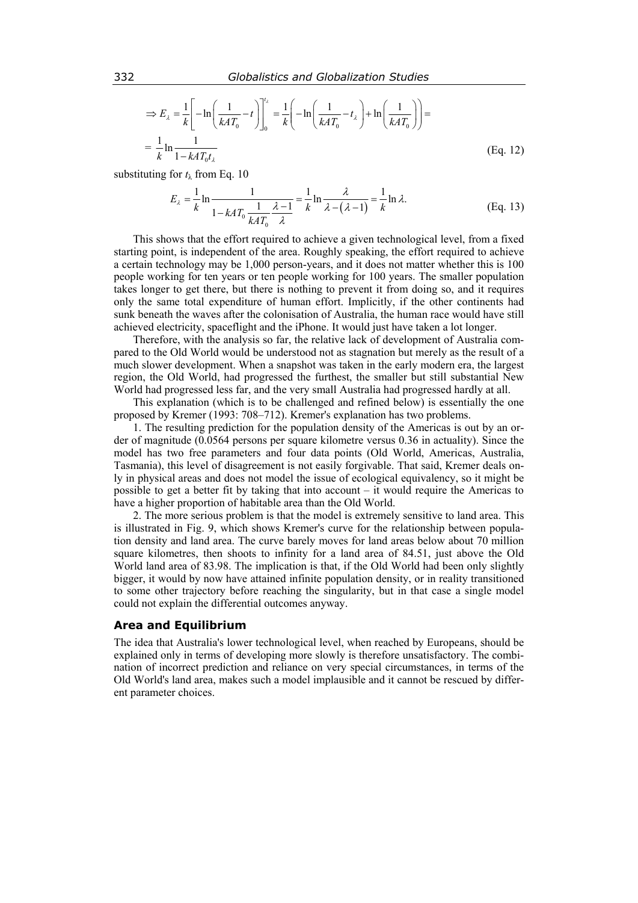$$
\Rightarrow E_{\lambda} = \frac{1}{k} \left[ -\ln \left( \frac{1}{kAT_0} - t \right) \right]_0^{t_{\lambda}} = \frac{1}{k} \left( -\ln \left( \frac{1}{kAT_0} - t_{\lambda} \right) + \ln \left( \frac{1}{kAT_0} \right) \right) =
$$

$$
= \frac{1}{k} \ln \frac{1}{1 - kAT_0 t_{\lambda}}
$$
(Eq. 12)

substituting for *t*λ from Eq. 10

$$
E_{\lambda} = \frac{1}{k} \ln \frac{1}{1 - kAT_0} \frac{1}{kAT_0} \frac{\lambda - 1}{\lambda} = \frac{1}{k} \ln \frac{\lambda}{\lambda - (\lambda - 1)} = \frac{1}{k} \ln \lambda.
$$
 (Eq. 13)

This shows that the effort required to achieve a given technological level, from a fixed starting point, is independent of the area. Roughly speaking, the effort required to achieve a certain technology may be 1,000 person-years, and it does not matter whether this is 100 people working for ten years or ten people working for 100 years. The smaller population takes longer to get there, but there is nothing to prevent it from doing so, and it requires only the same total expenditure of human effort. Implicitly, if the other continents had sunk beneath the waves after the colonisation of Australia, the human race would have still achieved electricity, spaceflight and the iPhone. It would just have taken a lot longer.

Therefore, with the analysis so far, the relative lack of development of Australia compared to the Old World would be understood not as stagnation but merely as the result of a much slower development. When a snapshot was taken in the early modern era, the largest region, the Old World, had progressed the furthest, the smaller but still substantial New World had progressed less far, and the very small Australia had progressed hardly at all.

This explanation (which is to be challenged and refined below) is essentially the one proposed by Kremer (1993: 708–712). Kremer's explanation has two problems.

1. The resulting prediction for the population density of the Americas is out by an order of magnitude (0.0564 persons per square kilometre versus 0.36 in actuality). Since the model has two free parameters and four data points (Old World, Americas, Australia, Tasmania), this level of disagreement is not easily forgivable. That said, Kremer deals only in physical areas and does not model the issue of ecological equivalency, so it might be possible to get a better fit by taking that into account  $-$  it would require the Americas to have a higher proportion of habitable area than the Old World.

2. The more serious problem is that the model is extremely sensitive to land area. This is illustrated in Fig. 9, which shows Kremer's curve for the relationship between population density and land area. The curve barely moves for land areas below about 70 million square kilometres, then shoots to infinity for a land area of 84.51, just above the Old World land area of 83.98. The implication is that, if the Old World had been only slightly bigger, it would by now have attained infinite population density, or in reality transitioned to some other trajectory before reaching the singularity, but in that case a single model could not explain the differential outcomes anyway.

## **Area and Equilibrium**

The idea that Australia's lower technological level, when reached by Europeans, should be explained only in terms of developing more slowly is therefore unsatisfactory. The combination of incorrect prediction and reliance on very special circumstances, in terms of the Old World's land area, makes such a model implausible and it cannot be rescued by different parameter choices.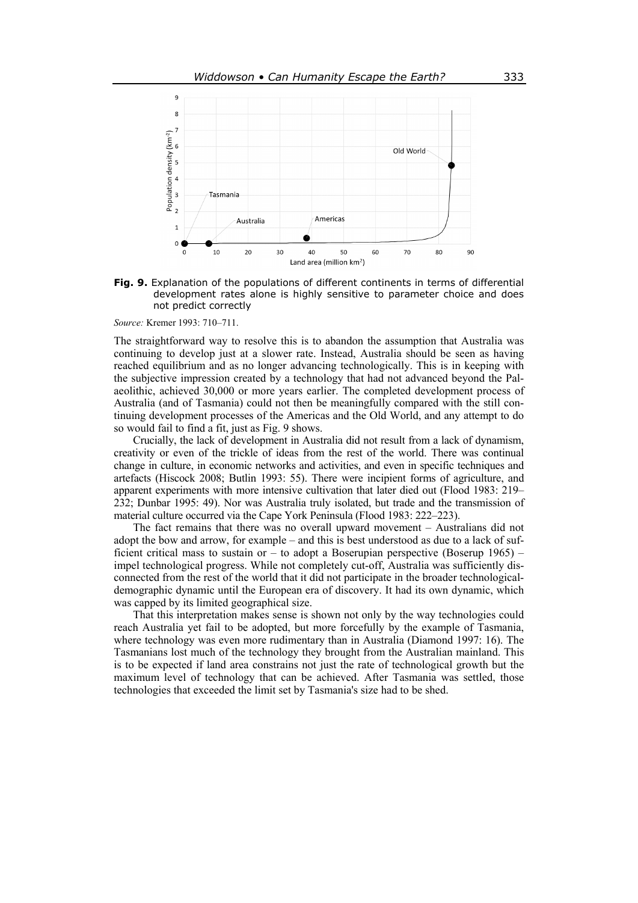

**Fig. 9.** Explanation of the populations of different continents in terms of differential development rates alone is highly sensitive to parameter choice and does not predict correctly

*Source:* Kremer 1993: 710–711.

The straightforward way to resolve this is to abandon the assumption that Australia was continuing to develop just at a slower rate. Instead, Australia should be seen as having reached equilibrium and as no longer advancing technologically. This is in keeping with the subjective impression created by a technology that had not advanced beyond the Palaeolithic, achieved 30,000 or more years earlier. The completed development process of Australia (and of Tasmania) could not then be meaningfully compared with the still continuing development processes of the Americas and the Old World, and any attempt to do so would fail to find a fit, just as Fig. 9 shows.

Crucially, the lack of development in Australia did not result from a lack of dynamism, creativity or even of the trickle of ideas from the rest of the world. There was continual change in culture, in economic networks and activities, and even in specific techniques and artefacts (Hiscock 2008; Butlin 1993: 55). There were incipient forms of agriculture, and apparent experiments with more intensive cultivation that later died out (Flood 1983: 219– 232; Dunbar 1995: 49). Nor was Australia truly isolated, but trade and the transmission of material culture occurred via the Cape York Peninsula (Flood 1983: 222–223).

The fact remains that there was no overall upward movement – Australians did not adopt the bow and arrow, for example – and this is best understood as due to a lack of sufficient critical mass to sustain or – to adopt a Boserupian perspective (Boserup 1965) – impel technological progress. While not completely cut-off, Australia was sufficiently disconnected from the rest of the world that it did not participate in the broader technologicaldemographic dynamic until the European era of discovery. It had its own dynamic, which was capped by its limited geographical size.

That this interpretation makes sense is shown not only by the way technologies could reach Australia yet fail to be adopted, but more forcefully by the example of Tasmania, where technology was even more rudimentary than in Australia (Diamond 1997: 16). The Tasmanians lost much of the technology they brought from the Australian mainland. This is to be expected if land area constrains not just the rate of technological growth but the maximum level of technology that can be achieved. After Tasmania was settled, those technologies that exceeded the limit set by Tasmania's size had to be shed.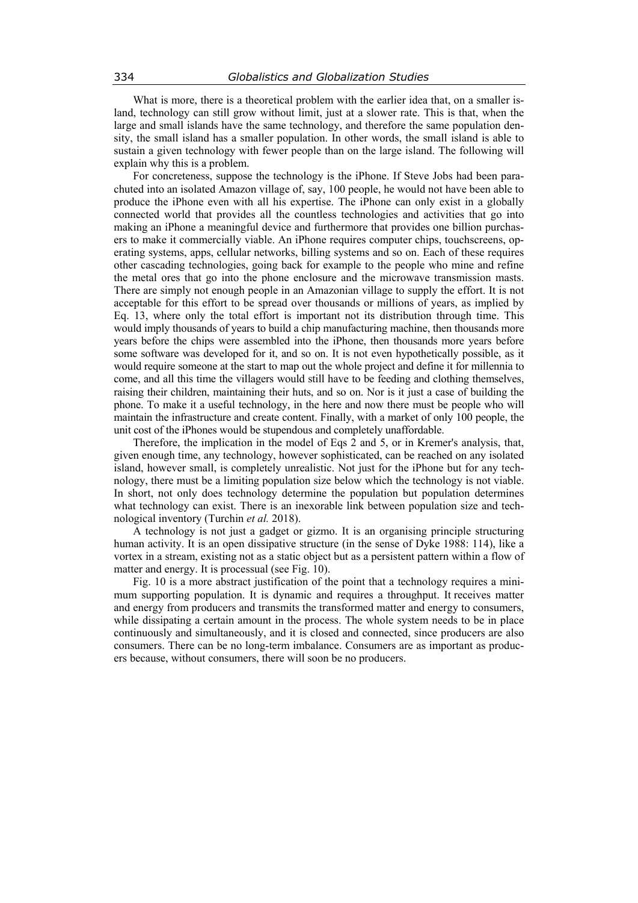What is more, there is a theoretical problem with the earlier idea that, on a smaller island, technology can still grow without limit, just at a slower rate. This is that, when the large and small islands have the same technology, and therefore the same population density, the small island has a smaller population. In other words, the small island is able to sustain a given technology with fewer people than on the large island. The following will explain why this is a problem.

For concreteness, suppose the technology is the iPhone. If Steve Jobs had been parachuted into an isolated Amazon village of, say, 100 people, he would not have been able to produce the iPhone even with all his expertise. The iPhone can only exist in a globally connected world that provides all the countless technologies and activities that go into making an iPhone a meaningful device and furthermore that provides one billion purchasers to make it commercially viable. An iPhone requires computer chips, touchscreens, operating systems, apps, cellular networks, billing systems and so on. Each of these requires other cascading technologies, going back for example to the people who mine and refine the metal ores that go into the phone enclosure and the microwave transmission masts. There are simply not enough people in an Amazonian village to supply the effort. It is not acceptable for this effort to be spread over thousands or millions of years, as implied by Eq. 13, where only the total effort is important not its distribution through time. This would imply thousands of years to build a chip manufacturing machine, then thousands more years before the chips were assembled into the iPhone, then thousands more years before some software was developed for it, and so on. It is not even hypothetically possible, as it would require someone at the start to map out the whole project and define it for millennia to come, and all this time the villagers would still have to be feeding and clothing themselves, raising their children, maintaining their huts, and so on. Nor is it just a case of building the phone. To make it a useful technology, in the here and now there must be people who will maintain the infrastructure and create content. Finally, with a market of only 100 people, the unit cost of the iPhones would be stupendous and completely unaffordable.

Therefore, the implication in the model of Eqs 2 and 5, or in Kremer's analysis, that, given enough time, any technology, however sophisticated, can be reached on any isolated island, however small, is completely unrealistic. Not just for the iPhone but for any technology, there must be a limiting population size below which the technology is not viable. In short, not only does technology determine the population but population determines what technology can exist. There is an inexorable link between population size and technological inventory (Turchin *et al.* 2018).

A technology is not just a gadget or gizmo. It is an organising principle structuring human activity. It is an open dissipative structure (in the sense of Dyke 1988: 114), like a vortex in a stream, existing not as a static object but as a persistent pattern within a flow of matter and energy. It is processual (see Fig. 10).

Fig. 10 is a more abstract justification of the point that a technology requires a minimum supporting population. It is dynamic and requires a throughput. It receives matter and energy from producers and transmits the transformed matter and energy to consumers, while dissipating a certain amount in the process. The whole system needs to be in place continuously and simultaneously, and it is closed and connected, since producers are also consumers. There can be no long-term imbalance. Consumers are as important as producers because, without consumers, there will soon be no producers.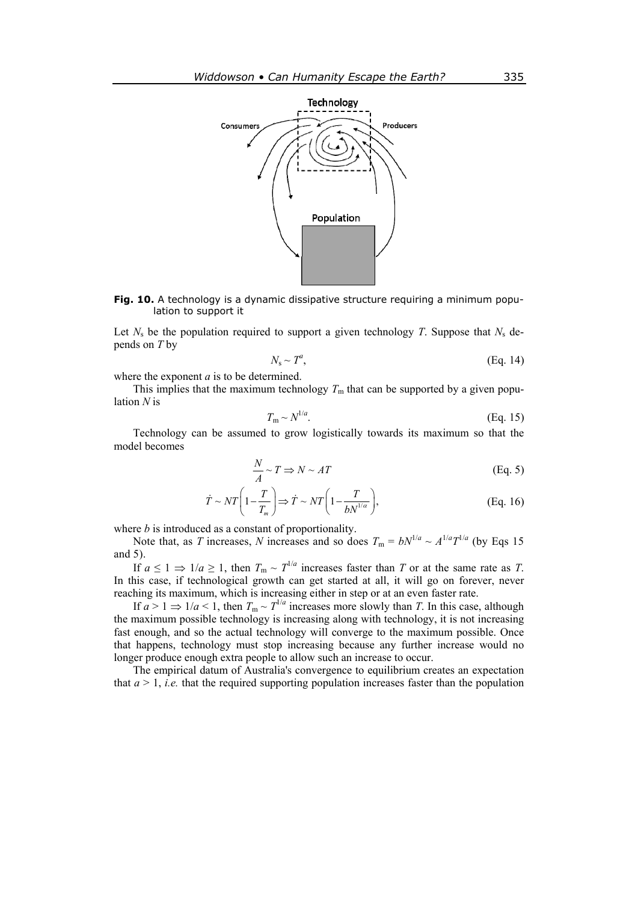

**Fig. 10.** A technology is a dynamic dissipative structure requiring a minimum population to support it

Let  $N_s$  be the population required to support a given technology *T*. Suppose that  $N_s$  depends on *T* by

$$
N_{\rm s} \sim T^a, \tag{Eq. 14}
$$

where the exponent *a* is to be determined.

This implies that the maximum technology  $T<sub>m</sub>$  that can be supported by a given population *N* is

$$
T_{\rm m} \sim N^{1/a}.\tag{Eq. 15}
$$

Technology can be assumed to grow logistically towards its maximum so that the model becomes

$$
\frac{N}{A} \sim T \Rightarrow N \sim AT
$$
 (Eq. 5)

$$
\dot{T} \sim NT\left(1 - \frac{T}{T_m}\right) \Rightarrow \dot{T} \sim NT\left(1 - \frac{T}{bN^{1/\alpha}}\right),\tag{Eq. 16}
$$

where *b* is introduced as a constant of proportionality.

Note that, as *T* increases, *N* increases and so does  $T_m = bN^{1/a} \sim A^{1/a}T^{1/a}$  (by Eqs 15) and 5).

If  $a \le 1 \Rightarrow 1/a \ge 1$ , then  $T_m \sim T^{1/a}$  increases faster than *T* or at the same rate as *T*. In this case, if technological growth can get started at all, it will go on forever, never reaching its maximum, which is increasing either in step or at an even faster rate.

If  $a > 1 \Rightarrow 1/a < 1$ , then  $T_m \sim T^{1/a}$  increases more slowly than *T*. In this case, although the maximum possible technology is increasing along with technology, it is not increasing fast enough, and so the actual technology will converge to the maximum possible. Once that happens, technology must stop increasing because any further increase would no longer produce enough extra people to allow such an increase to occur.

The empirical datum of Australia's convergence to equilibrium creates an expectation that  $a > 1$ , *i.e.* that the required supporting population increases faster than the population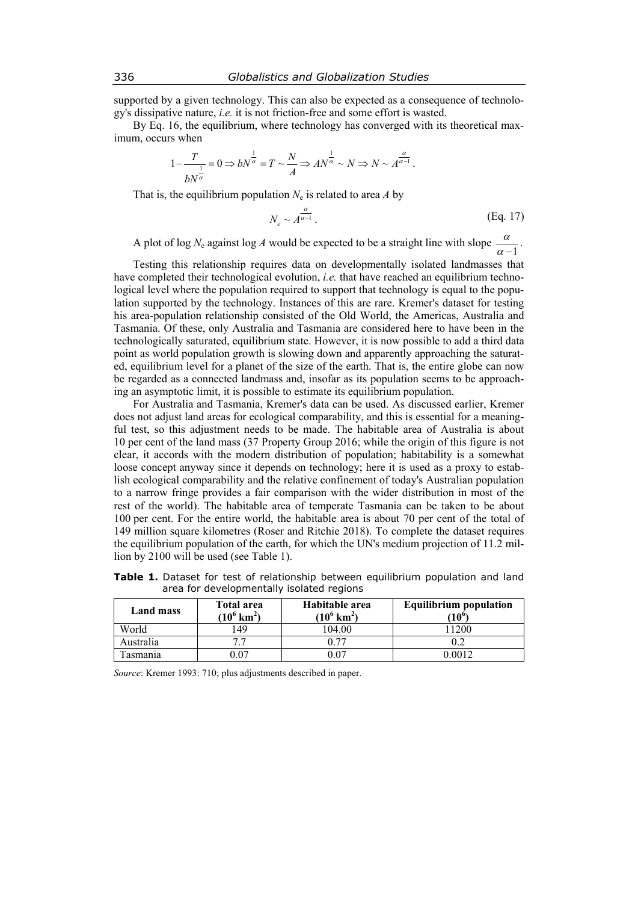supported by a given technology. This can also be expected as a consequence of technology's dissipative nature, *i.e.* it is not friction-free and some effort is wasted.

By Eq. 16, the equilibrium, where technology has converged with its theoretical maximum, occurs when

$$
1 - \frac{T}{bN^{\frac{1}{\alpha}}} = 0 \Rightarrow bN^{\frac{1}{\alpha}} = T \sim \frac{N}{A} \Rightarrow AN^{\frac{1}{\alpha}} \sim N \Rightarrow N \sim A^{\frac{\alpha}{\alpha - 1}}.
$$

That is, the equilibrium population  $N_e$  is related to area *A* by

$$
N_e \sim A^{\frac{\alpha}{\alpha - 1}}.
$$
 (Eq. 17)

A plot of log  $N_e$  against log *A* would be expected to be a straight line with slope  $\frac{\alpha}{\alpha - 1}$ .

Testing this relationship requires data on developmentally isolated landmasses that have completed their technological evolution, *i.e.* that have reached an equilibrium technological level where the population required to support that technology is equal to the population supported by the technology. Instances of this are rare. Kremer's dataset for testing his area-population relationship consisted of the Old World, the Americas, Australia and Tasmania. Of these, only Australia and Tasmania are considered here to have been in the technologically saturated, equilibrium state. However, it is now possible to add a third data point as world population growth is slowing down and apparently approaching the saturated, equilibrium level for a planet of the size of the earth. That is, the entire globe can now be regarded as a connected landmass and, insofar as its population seems to be approaching an asymptotic limit, it is possible to estimate its equilibrium population.

For Australia and Tasmania, Kremer's data can be used. As discussed earlier, Kremer does not adjust land areas for ecological comparability, and this is essential for a meaningful test, so this adjustment needs to be made. The habitable area of Australia is about 10 per cent of the land mass (37 Property Group 2016; while the origin of this figure is not clear, it accords with the modern distribution of population; habitability is a somewhat loose concept anyway since it depends on technology; here it is used as a proxy to establish ecological comparability and the relative confinement of today's Australian population to a narrow fringe provides a fair comparison with the wider distribution in most of the rest of the world). The habitable area of temperate Tasmania can be taken to be about 100 per cent. For the entire world, the habitable area is about 70 per cent of the total of 149 million square kilometres (Roser and Ritchie 2018). To complete the dataset requires the equilibrium population of the earth, for which the UN's medium projection of 11.2 million by 2100 will be used (see Table 1).

| Land mass | Total area<br>$(10^6 \text{ km}^2)$ | Habitable area<br>$(10^6 \text{ km}^2)$ | <b>Equilibrium population</b><br>$(10^{\circ}$ |
|-----------|-------------------------------------|-----------------------------------------|------------------------------------------------|
| World     | 49                                  | 04.00                                   | 1200                                           |
| Australia |                                     |                                         |                                                |

Tasmania  $0.07$  0.07 0.0012

**Table 1.** Dataset for test of relationship between equilibrium population and land area for developmentally isolated regions

*Source*: Kremer 1993: 710; plus adjustments described in paper.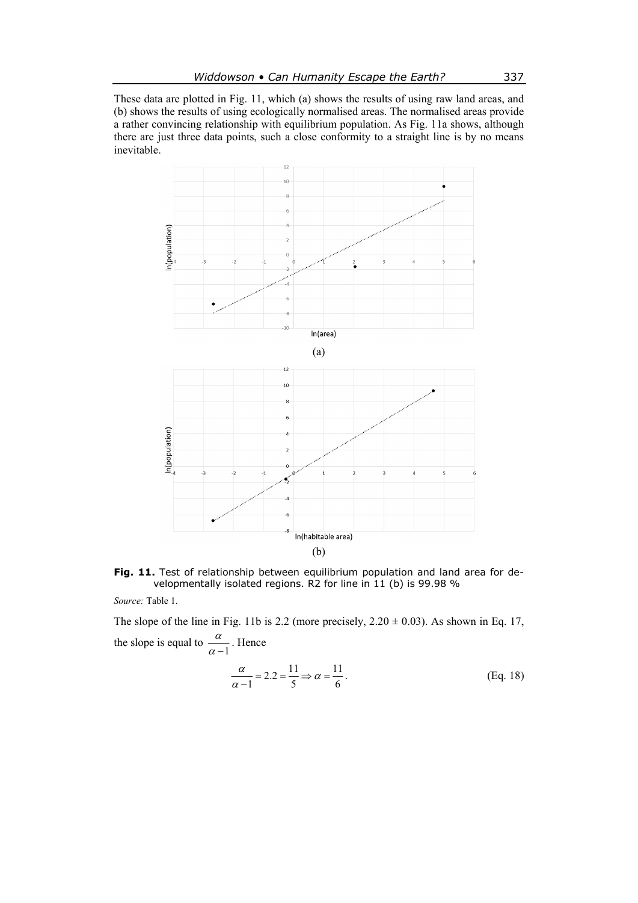These data are plotted in Fig. 11, which (a) shows the results of using raw land areas, and (b) shows the results of using ecologically normalised areas. The normalised areas provide a rather convincing relationship with equilibrium population. As Fig. 11a shows, although there are just three data points, such a close conformity to a straight line is by no means inevitable.



Fig. 11. Test of relationship between equilibrium population and land area for developmentally isolated regions. R2 for line in 11 (b) is 99.98 %

*Source:* Table 1.

The slope of the line in Fig. 11b is 2.2 (more precisely,  $2.20 \pm 0.03$ ). As shown in Eq. 17, the slope is equal to  $\frac{\alpha}{\alpha-1}$ . Hence

$$
\frac{\alpha}{\alpha - 1} = 2.2 = \frac{11}{5} \Rightarrow \alpha = \frac{11}{6} \,. \tag{Eq. 18}
$$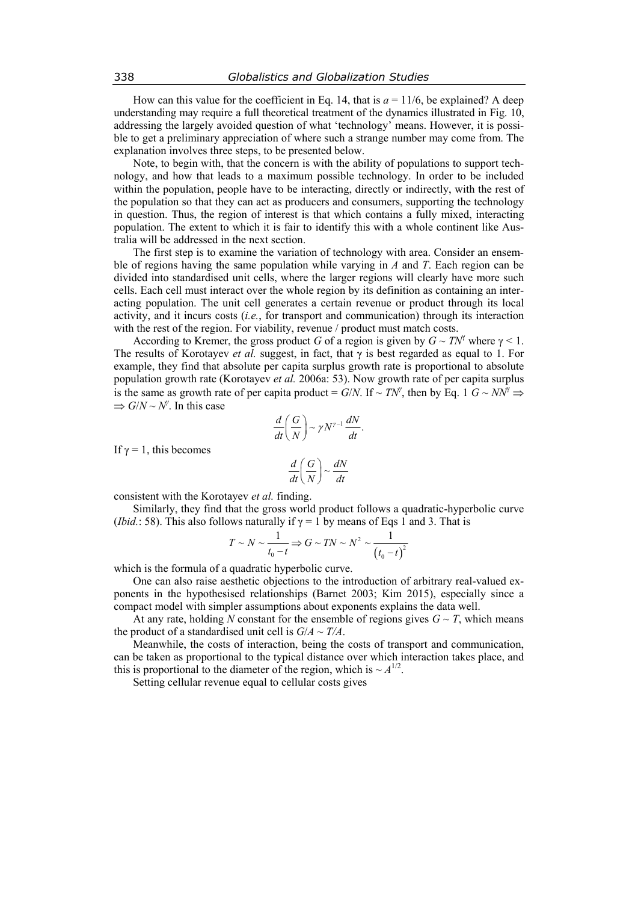How can this value for the coefficient in Eq. 14, that is  $a = 11/6$ , be explained? A deep understanding may require a full theoretical treatment of the dynamics illustrated in Fig. 10, addressing the largely avoided question of what 'technology' means. However, it is possible to get a preliminary appreciation of where such a strange number may come from. The explanation involves three steps, to be presented below.

Note, to begin with, that the concern is with the ability of populations to support technology, and how that leads to a maximum possible technology. In order to be included within the population, people have to be interacting, directly or indirectly, with the rest of the population so that they can act as producers and consumers, supporting the technology in question. Thus, the region of interest is that which contains a fully mixed, interacting population. The extent to which it is fair to identify this with a whole continent like Australia will be addressed in the next section.

The first step is to examine the variation of technology with area. Consider an ensemble of regions having the same population while varying in *A* and *T*. Each region can be divided into standardised unit cells, where the larger regions will clearly have more such cells. Each cell must interact over the whole region by its definition as containing an interacting population. The unit cell generates a certain revenue or product through its local activity, and it incurs costs (*i.e.*, for transport and communication) through its interaction with the rest of the region. For viability, revenue / product must match costs.

According to Kremer, the gross product *G* of a region is given by  $G \sim TN^{\gamma}$  where  $\gamma < 1$ . The results of Korotayev *et al.* suggest, in fact, that  $\gamma$  is best regarded as equal to 1. For example, they find that absolute per capita surplus growth rate is proportional to absolute population growth rate (Korotayev *et al.* 2006a: 53). Now growth rate of per capita surplus is the same as growth rate of per capita product = *G*/*N*. If ~ *TN<sup><i>†*</sup></sup>, then by Eq. 1 *G* ~ *NN<sup>†</sup>*  $\Rightarrow$  $\Rightarrow G/N \sim N^{\gamma}$ . In this case

$$
\frac{d}{dt}\bigg(\frac{G}{N}\bigg) \sim \gamma N^{\gamma-1}\frac{dN}{dt}.
$$

If  $\gamma = 1$ , this becomes

$$
\frac{d}{dt}\left(\frac{G}{N}\right) \sim \frac{dN}{dt}
$$

consistent with the Korotayev *et al.* finding.

Similarly, they find that the gross world product follows a quadratic-hyperbolic curve (*Ibid.*: 58). This also follows naturally if  $\gamma = 1$  by means of Eqs 1 and 3. That is

$$
T \sim N \sim \frac{1}{t_0 - t} \Rightarrow G \sim TN \sim N^2 \sim \frac{1}{(t_0 - t)^2}
$$

which is the formula of a quadratic hyperbolic curve.

One can also raise aesthetic objections to the introduction of arbitrary real-valued exponents in the hypothesised relationships (Barnet 2003; Kim 2015), especially since a compact model with simpler assumptions about exponents explains the data well.

At any rate, holding N constant for the ensemble of regions gives  $G \sim T$ , which means the product of a standardised unit cell is  $G/A \sim T/A$ .

Meanwhile, the costs of interaction, being the costs of transport and communication, can be taken as proportional to the typical distance over which interaction takes place, and this is proportional to the diameter of the region, which is  $\sim A^{1/2}$ .

Setting cellular revenue equal to cellular costs gives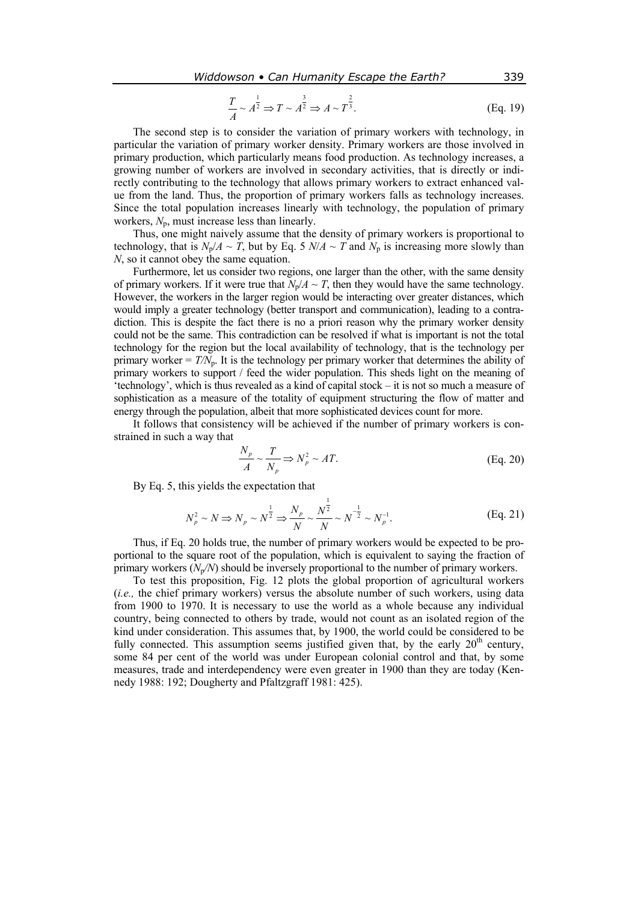$$
\frac{T}{A} \sim A^{\frac{1}{2}} \Rightarrow T \sim A^{\frac{3}{2}} \Rightarrow A \sim T^{\frac{2}{3}}.
$$
 (Eq. 19)

The second step is to consider the variation of primary workers with technology, in particular the variation of primary worker density. Primary workers are those involved in primary production, which particularly means food production. As technology increases, a growing number of workers are involved in secondary activities, that is directly or indirectly contributing to the technology that allows primary workers to extract enhanced value from the land. Thus, the proportion of primary workers falls as technology increases. Since the total population increases linearly with technology, the population of primary workers,  $N_p$ , must increase less than linearly.

Thus, one might naively assume that the density of primary workers is proportional to technology, that is  $N_p/A \sim T$ , but by Eq. 5  $N/A \sim T$  and  $N_p$  is increasing more slowly than *N*, so it cannot obey the same equation.

Furthermore, let us consider two regions, one larger than the other, with the same density of primary workers. If it were true that  $N_p/A \sim T$ , then they would have the same technology. However, the workers in the larger region would be interacting over greater distances, which would imply a greater technology (better transport and communication), leading to a contradiction. This is despite the fact there is no a priori reason why the primary worker density could not be the same. This contradiction can be resolved if what is important is not the total technology for the region but the local availability of technology, that is the technology per primary worker  $T/N_p$ . It is the technology per primary worker that determines the ability of primary workers to support / feed the wider population. This sheds light on the meaning of 'technology', which is thus revealed as a kind of capital stock – it is not so much a measure of sophistication as a measure of the totality of equipment structuring the flow of matter and energy through the population, albeit that more sophisticated devices count for more.

It follows that consistency will be achieved if the number of primary workers is constrained in such a way that

$$
\frac{N_p}{A} \sim \frac{T}{N_p} \Rightarrow N_p^2 \sim AT.
$$
 (Eq. 20)

By Eq. 5, this yields the expectation that

$$
N_p^2 \sim N \Longrightarrow N_p \sim N^{\frac{1}{2}} \Longrightarrow \frac{N_p}{N} \sim \frac{N^{\frac{1}{2}}}{N} \sim N^{-\frac{1}{2}} \sim N_p^{-1}.
$$
 (Eq. 21)

Thus, if Eq. 20 holds true, the number of primary workers would be expected to be proportional to the square root of the population, which is equivalent to saying the fraction of primary workers (*N*p*/N*) should be inversely proportional to the number of primary workers.

To test this proposition, Fig. 12 plots the global proportion of agricultural workers (*i.e.,* the chief primary workers) versus the absolute number of such workers, using data from 1900 to 1970. It is necessary to use the world as a whole because any individual country, being connected to others by trade, would not count as an isolated region of the kind under consideration. This assumes that, by 1900, the world could be considered to be fully connected. This assumption seems justified given that, by the early  $20<sup>th</sup>$  century, some 84 per cent of the world was under European colonial control and that, by some measures, trade and interdependency were even greater in 1900 than they are today (Kennedy 1988: 192; Dougherty and Pfaltzgraff 1981: 425).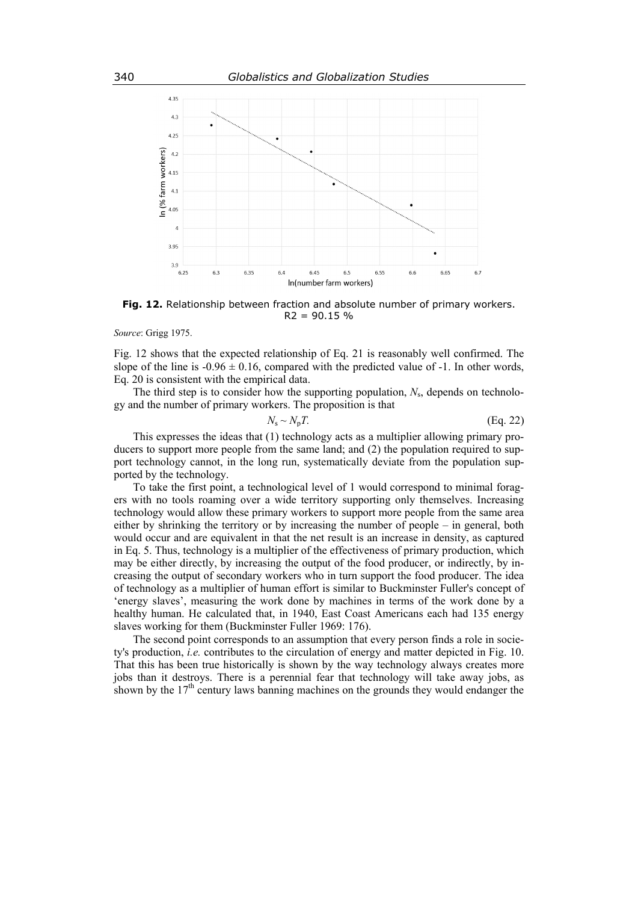

**Fig. 12.** Relationship between fraction and absolute number of primary workers.  $R2 = 90.15 %$ 

*Source*: Grigg 1975.

Fig. 12 shows that the expected relationship of Eq. 21 is reasonably well confirmed. The slope of the line is  $-0.96 \pm 0.16$ , compared with the predicted value of  $-1$ . In other words, Eq. 20 is consistent with the empirical data.

The third step is to consider how the supporting population, *N*s, depends on technology and the number of primary workers. The proposition is that

$$
N_{\rm s} \sim N_{\rm p} T. \tag{Eq. 22}
$$

This expresses the ideas that (1) technology acts as a multiplier allowing primary producers to support more people from the same land; and (2) the population required to support technology cannot, in the long run, systematically deviate from the population supported by the technology.

To take the first point, a technological level of 1 would correspond to minimal foragers with no tools roaming over a wide territory supporting only themselves. Increasing technology would allow these primary workers to support more people from the same area either by shrinking the territory or by increasing the number of people – in general, both would occur and are equivalent in that the net result is an increase in density, as captured in Eq. 5. Thus, technology is a multiplier of the effectiveness of primary production, which may be either directly, by increasing the output of the food producer, or indirectly, by increasing the output of secondary workers who in turn support the food producer. The idea of technology as a multiplier of human effort is similar to Buckminster Fuller's concept of 'energy slaves', measuring the work done by machines in terms of the work done by a healthy human. He calculated that, in 1940, East Coast Americans each had 135 energy slaves working for them (Buckminster Fuller 1969: 176).

The second point corresponds to an assumption that every person finds a role in society's production, *i.e.* contributes to the circulation of energy and matter depicted in Fig. 10. That this has been true historically is shown by the way technology always creates more jobs than it destroys. There is a perennial fear that technology will take away jobs, as shown by the  $17<sup>th</sup>$  century laws banning machines on the grounds they would endanger the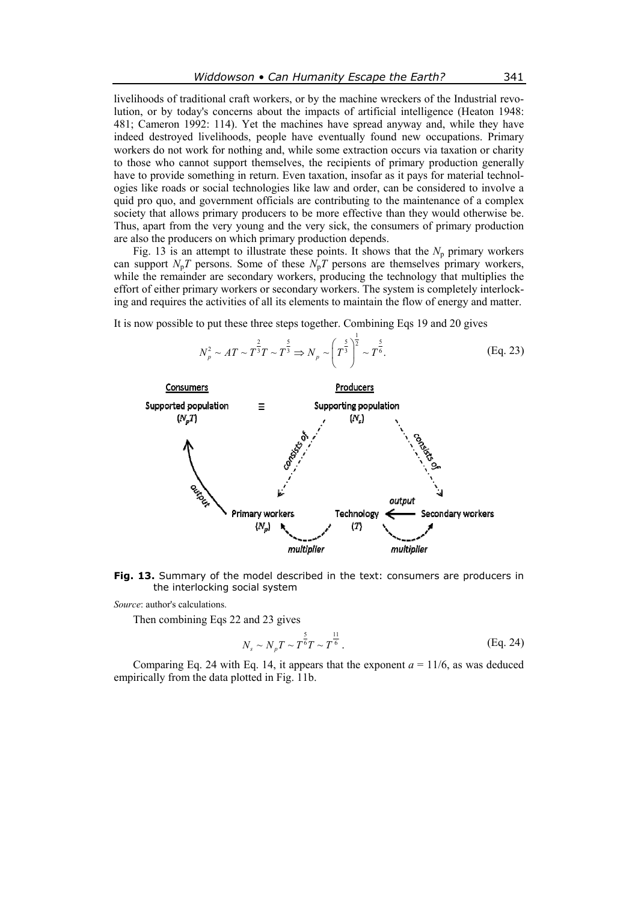livelihoods of traditional craft workers, or by the machine wreckers of the Industrial revolution, or by today's concerns about the impacts of artificial intelligence (Heaton 1948: 481; Cameron 1992: 114). Yet the machines have spread anyway and, while they have indeed destroyed livelihoods, people have eventually found new occupations. Primary workers do not work for nothing and, while some extraction occurs via taxation or charity to those who cannot support themselves, the recipients of primary production generally have to provide something in return. Even taxation, insofar as it pays for material technologies like roads or social technologies like law and order, can be considered to involve a quid pro quo, and government officials are contributing to the maintenance of a complex society that allows primary producers to be more effective than they would otherwise be. Thus, apart from the very young and the very sick, the consumers of primary production are also the producers on which primary production depends.

Fig. 13 is an attempt to illustrate these points. It shows that the  $N_p$  primary workers can support  $N_pT$  persons. Some of these  $N_pT$  persons are themselves primary workers, while the remainder are secondary workers, producing the technology that multiplies the effort of either primary workers or secondary workers. The system is completely interlocking and requires the activities of all its elements to maintain the flow of energy and matter.

It is now possible to put these three steps together. Combining Eqs 19 and 20 gives



**Fig. 13.** Summary of the model described in the text: consumers are producers in the interlocking social system

*Source*: author's calculations.

Then combining Eqs 22 and 23 gives

$$
N_s \sim N_p T \sim T^{\frac{5}{6}} T \sim T^{\frac{11}{6}}.
$$
 (Eq. 24)

Comparing Eq. 24 with Eq. 14, it appears that the exponent  $a = 11/6$ , as was deduced empirically from the data plotted in Fig. 11b.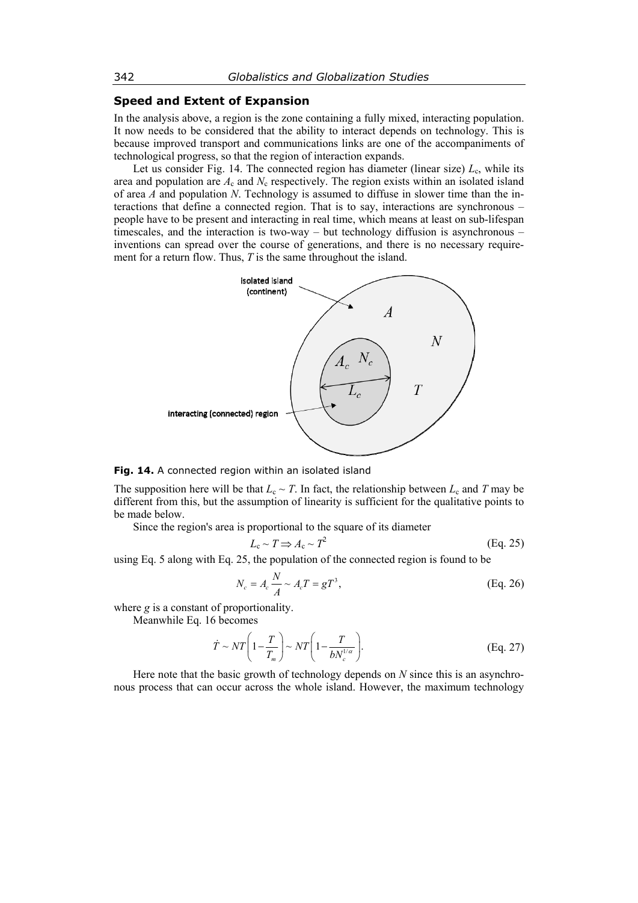# **Speed and Extent of Expansion**

In the analysis above, a region is the zone containing a fully mixed, interacting population. It now needs to be considered that the ability to interact depends on technology. This is because improved transport and communications links are one of the accompaniments of technological progress, so that the region of interaction expands.

Let us consider Fig. 14. The connected region has diameter (linear size)  $L_c$ , while its area and population are  $A_c$  and  $N_c$  respectively. The region exists within an isolated island of area *A* and population *N*. Technology is assumed to diffuse in slower time than the interactions that define a connected region. That is to say, interactions are synchronous – people have to be present and interacting in real time, which means at least on sub-lifespan timescales, and the interaction is two-way – but technology diffusion is asynchronous – inventions can spread over the course of generations, and there is no necessary requirement for a return flow. Thus, *T* is the same throughout the island.



#### **Fig. 14.** A connected region within an isolated island

The supposition here will be that  $L_c \sim T$ . In fact, the relationship between  $L_c$  and *T* may be different from this, but the assumption of linearity is sufficient for the qualitative points to be made below.

Since the region's area is proportional to the square of its diameter

$$
L_{\rm c} \sim T \Rightarrow A_{\rm c} \sim T^2 \tag{Eq. 25}
$$

using Eq. 5 along with Eq. 25, the population of the connected region is found to be

$$
N_c = A_c \frac{N}{A} \sim A_c T = gT^3,
$$
 (Eq. 26)

where *g* is a constant of proportionality.

Meanwhile Eq. 16 becomes

$$
\dot{T} \sim NT \left(1 - \frac{T}{T_m}\right) \sim NT \left(1 - \frac{T}{bN_c^{1/\alpha}}\right). \tag{Eq. 27}
$$

Here note that the basic growth of technology depends on *N* since this is an asynchronous process that can occur across the whole island. However, the maximum technology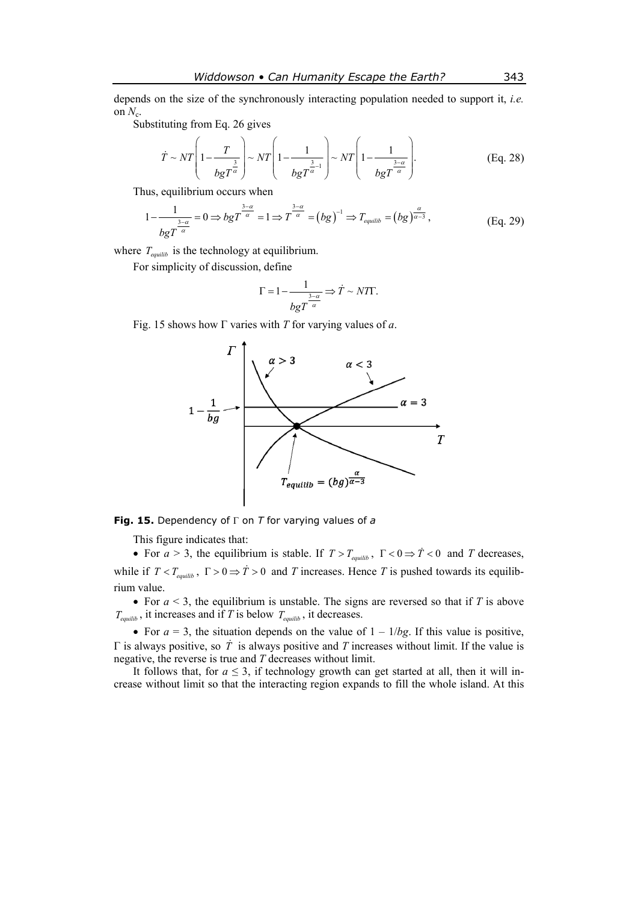depends on the size of the synchronously interacting population needed to support it, *i.e.* on  $N_c$ .

Substituting from Eq. 26 gives

$$
\dot{T} \sim NT \left(1 - \frac{T}{bgT^{\frac{3}{\alpha}}}\right) \sim NT \left(1 - \frac{1}{bgT^{\frac{3}{\alpha}-1}}\right) \sim NT \left(1 - \frac{1}{bgT^{\frac{3-\alpha}{\alpha}}}\right).
$$
\n(Eq. 28)

Thus, equilibrium occurs when

$$
1 - \frac{1}{\log^{1-\alpha} 0} = 0 \Rightarrow \log^{1-\alpha} 0 = 1 \Rightarrow T^{\frac{3-\alpha}{\alpha}} = (bg)^{-1} \Rightarrow T_{\text{equilib}} = (bg)^{\frac{\alpha}{\alpha-3}}, \tag{Eq. 29}
$$

where  $T_{\text{equilib}}$  is the technology at equilibrium.

For simplicity of discussion, define

$$
\Gamma = 1 - \frac{1}{\log T^{-\alpha}} \Rightarrow \dot{T} \sim N \text{Tr}.
$$

Fig. 15 shows how Г varies with *T* for varying values of *a*.



**Fig. 15.** Dependency of Г on *T* for varying values of *a*

This figure indicates that:

• For  $a > 3$ , the equilibrium is stable. If  $T > T_{equilib}$ ,  $\Gamma < 0 \Rightarrow \dot{T} < 0$  and *T* decreases, while if  $T < T_{equilib}$ ,  $\Gamma > 0 \Rightarrow \dot{T} > 0$  and *T* increases. Hence *T* is pushed towards its equilibrium value.

• For  $a < 3$ , the equilibrium is unstable. The signs are reversed so that if *T* is above  $T_{\text{equilib}}$ , it increases and if *T* is below  $T_{\text{equilib}}$ , it decreases.

• For  $a = 3$ , the situation depends on the value of  $1 - 1/bg$ . If this value is positive,  $\Gamma$  is always positive, so  $\dot{T}$  is always positive and  $T$  increases without limit. If the value is negative, the reverse is true and *T* decreases without limit.

It follows that, for  $a \leq 3$ , if technology growth can get started at all, then it will increase without limit so that the interacting region expands to fill the whole island. At this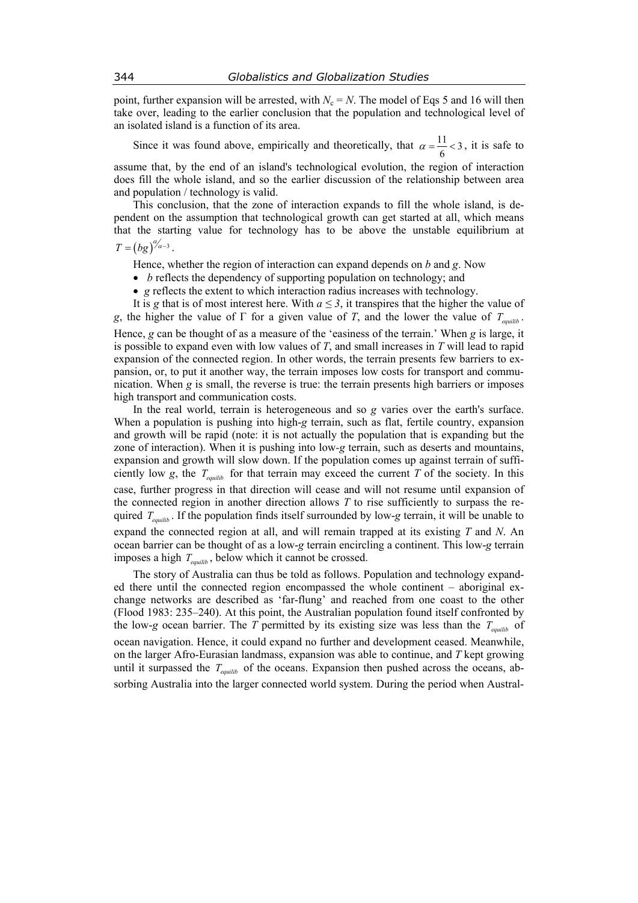point, further expansion will be arrested, with  $N_c = N$ . The model of Eqs 5 and 16 will then take over, leading to the earlier conclusion that the population and technological level of an isolated island is a function of its area.

Since it was found above, empirically and theoretically, that  $\alpha = \frac{11}{6} < 3$ , it is safe to

assume that, by the end of an island's technological evolution, the region of interaction does fill the whole island, and so the earlier discussion of the relationship between area and population / technology is valid.

This conclusion, that the zone of interaction expands to fill the whole island, is dependent on the assumption that technological growth can get started at all, which means that the starting value for technology has to be above the unstable equilibrium at

$$
T=\left(bg\right)^{\alpha_{\alpha-3}}.
$$

Hence, whether the region of interaction can expand depends on *b* and *g*. Now

- *b* reflects the dependency of supporting population on technology; and
- *g* reflects the extent to which interaction radius increases with technology.

It is *g* that is of most interest here. With  $a \leq 3$ , it transpires that the higher the value of *g*, the higher the value of  $\Gamma$  for a given value of *T*, and the lower the value of  $T_{equilib}$ . Hence, *g* can be thought of as a measure of the 'easiness of the terrain.' When *g* is large, it is possible to expand even with low values of *T*, and small increases in *T* will lead to rapid expansion of the connected region. In other words, the terrain presents few barriers to expansion, or, to put it another way, the terrain imposes low costs for transport and communication. When *g* is small, the reverse is true: the terrain presents high barriers or imposes high transport and communication costs.

In the real world, terrain is heterogeneous and so *g* varies over the earth's surface. When a population is pushing into high-*g* terrain, such as flat, fertile country, expansion and growth will be rapid (note: it is not actually the population that is expanding but the zone of interaction). When it is pushing into low*-g* terrain, such as deserts and mountains, expansion and growth will slow down. If the population comes up against terrain of sufficiently low *g*, the  $T_{equilib}$  for that terrain may exceed the current *T* of the society. In this case, further progress in that direction will cease and will not resume until expansion of the connected region in another direction allows *T* to rise sufficiently to surpass the required  $T_{\text{equilib}}$ . If the population finds itself surrounded by low-*g* terrain, it will be unable to expand the connected region at all, and will remain trapped at its existing *T* and *N*. An ocean barrier can be thought of as a low-*g* terrain encircling a continent. This low-*g* terrain imposes a high  $T_{\text{equilib}}$ , below which it cannot be crossed.

The story of Australia can thus be told as follows. Population and technology expanded there until the connected region encompassed the whole continent – aboriginal exchange networks are described as 'far-flung' and reached from one coast to the other (Flood 1983: 235–240). At this point, the Australian population found itself confronted by the low-*g* ocean barrier. The *T* permitted by its existing size was less than the  $T_{\text{equilib}}$  of ocean navigation. Hence, it could expand no further and development ceased. Meanwhile, on the larger Afro-Eurasian landmass, expansion was able to continue, and *T* kept growing until it surpassed the  $T_{\text{equilib}}$  of the oceans. Expansion then pushed across the oceans, absorbing Australia into the larger connected world system. During the period when Austral-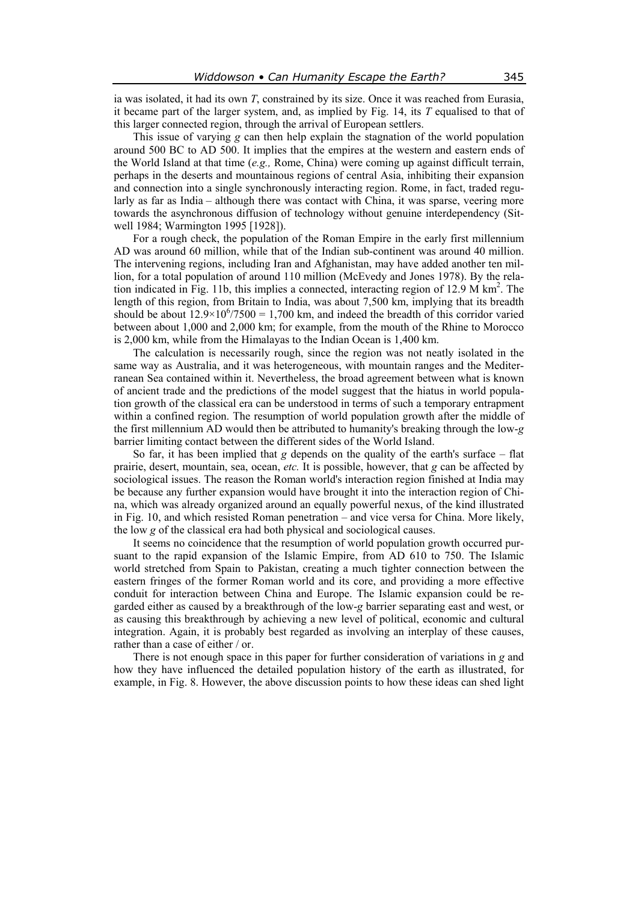ia was isolated, it had its own *T*, constrained by its size. Once it was reached from Eurasia, it became part of the larger system, and, as implied by Fig. 14, its *T* equalised to that of this larger connected region, through the arrival of European settlers.

This issue of varying *g* can then help explain the stagnation of the world population around 500 BC to AD 500. It implies that the empires at the western and eastern ends of the World Island at that time (*e.g.,* Rome, China) were coming up against difficult terrain, perhaps in the deserts and mountainous regions of central Asia, inhibiting their expansion and connection into a single synchronously interacting region. Rome, in fact, traded regularly as far as India – although there was contact with China, it was sparse, veering more towards the asynchronous diffusion of technology without genuine interdependency (Sitwell 1984; Warmington 1995 [1928]).

For a rough check, the population of the Roman Empire in the early first millennium AD was around 60 million, while that of the Indian sub-continent was around 40 million. The intervening regions, including Iran and Afghanistan, may have added another ten million, for a total population of around 110 million (McEvedy and Jones 1978). By the relation indicated in Fig. 11b, this implies a connected, interacting region of 12.9 M  $\text{km}^2$ . The length of this region, from Britain to India, was about 7,500 km, implying that its breadth should be about  $12.9 \times 10^{6}/7500 = 1,700$  km, and indeed the breadth of this corridor varied between about 1,000 and 2,000 km; for example, from the mouth of the Rhine to Morocco is 2,000 km, while from the Himalayas to the Indian Ocean is 1,400 km.

The calculation is necessarily rough, since the region was not neatly isolated in the same way as Australia, and it was heterogeneous, with mountain ranges and the Mediterranean Sea contained within it. Nevertheless, the broad agreement between what is known of ancient trade and the predictions of the model suggest that the hiatus in world population growth of the classical era can be understood in terms of such a temporary entrapment within a confined region. The resumption of world population growth after the middle of the first millennium AD would then be attributed to humanity's breaking through the low-*g* barrier limiting contact between the different sides of the World Island.

So far, it has been implied that *g* depends on the quality of the earth's surface – flat prairie, desert, mountain, sea, ocean, *etc.* It is possible, however, that *g* can be affected by sociological issues. The reason the Roman world's interaction region finished at India may be because any further expansion would have brought it into the interaction region of China, which was already organized around an equally powerful nexus, of the kind illustrated in Fig. 10, and which resisted Roman penetration – and vice versa for China. More likely, the low *g* of the classical era had both physical and sociological causes.

It seems no coincidence that the resumption of world population growth occurred pursuant to the rapid expansion of the Islamic Empire, from AD 610 to 750. The Islamic world stretched from Spain to Pakistan, creating a much tighter connection between the eastern fringes of the former Roman world and its core, and providing a more effective conduit for interaction between China and Europe. The Islamic expansion could be regarded either as caused by a breakthrough of the low-*g* barrier separating east and west, or as causing this breakthrough by achieving a new level of political, economic and cultural integration. Again, it is probably best regarded as involving an interplay of these causes, rather than a case of either / or.

There is not enough space in this paper for further consideration of variations in *g* and how they have influenced the detailed population history of the earth as illustrated, for example, in Fig. 8. However, the above discussion points to how these ideas can shed light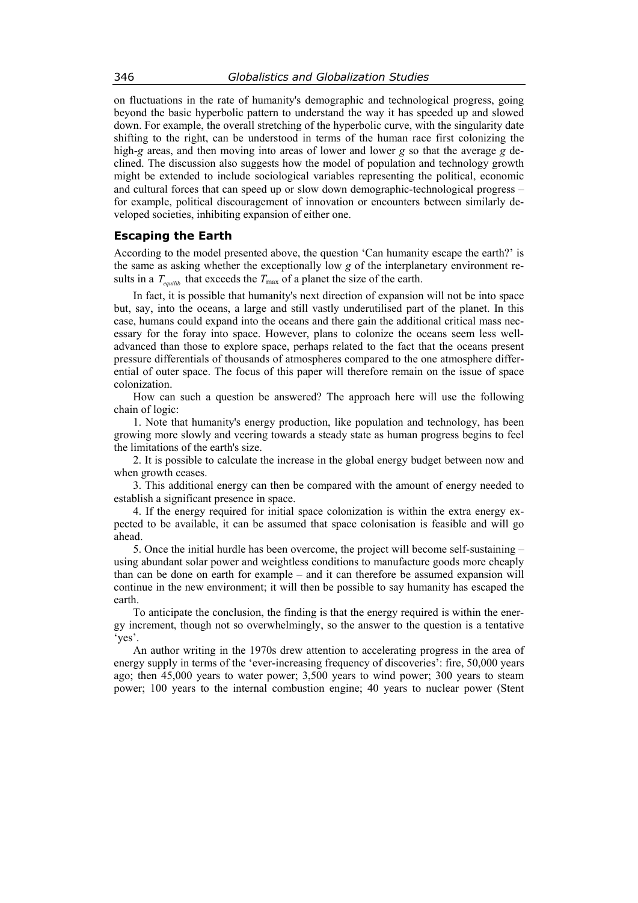on fluctuations in the rate of humanity's demographic and technological progress, going beyond the basic hyperbolic pattern to understand the way it has speeded up and slowed down. For example, the overall stretching of the hyperbolic curve, with the singularity date shifting to the right, can be understood in terms of the human race first colonizing the high-*g* areas, and then moving into areas of lower and lower *g* so that the average *g* declined. The discussion also suggests how the model of population and technology growth might be extended to include sociological variables representing the political, economic and cultural forces that can speed up or slow down demographic-technological progress – for example, political discouragement of innovation or encounters between similarly developed societies, inhibiting expansion of either one.

## **Escaping the Earth**

According to the model presented above, the question 'Can humanity escape the earth?' is the same as asking whether the exceptionally low *g* of the interplanetary environment results in a  $T_{\text{equilib}}$  that exceeds the  $T_{\text{max}}$  of a planet the size of the earth.

In fact, it is possible that humanity's next direction of expansion will not be into space but, say, into the oceans, a large and still vastly underutilised part of the planet. In this case, humans could expand into the oceans and there gain the additional critical mass necessary for the foray into space. However, plans to colonize the oceans seem less welladvanced than those to explore space, perhaps related to the fact that the oceans present pressure differentials of thousands of atmospheres compared to the one atmosphere differential of outer space. The focus of this paper will therefore remain on the issue of space colonization.

How can such a question be answered? The approach here will use the following chain of logic:

1. Note that humanity's energy production, like population and technology, has been growing more slowly and veering towards a steady state as human progress begins to feel the limitations of the earth's size.

2. It is possible to calculate the increase in the global energy budget between now and when growth ceases.

3. This additional energy can then be compared with the amount of energy needed to establish a significant presence in space.

4. If the energy required for initial space colonization is within the extra energy expected to be available, it can be assumed that space colonisation is feasible and will go ahead.

5. Once the initial hurdle has been overcome, the project will become self-sustaining – using abundant solar power and weightless conditions to manufacture goods more cheaply than can be done on earth for example – and it can therefore be assumed expansion will continue in the new environment; it will then be possible to say humanity has escaped the earth.

To anticipate the conclusion, the finding is that the energy required is within the energy increment, though not so overwhelmingly, so the answer to the question is a tentative 'yes'.

An author writing in the 1970s drew attention to accelerating progress in the area of energy supply in terms of the 'ever-increasing frequency of discoveries': fire, 50,000 years ago; then 45,000 years to water power; 3,500 years to wind power; 300 years to steam power; 100 years to the internal combustion engine; 40 years to nuclear power (Stent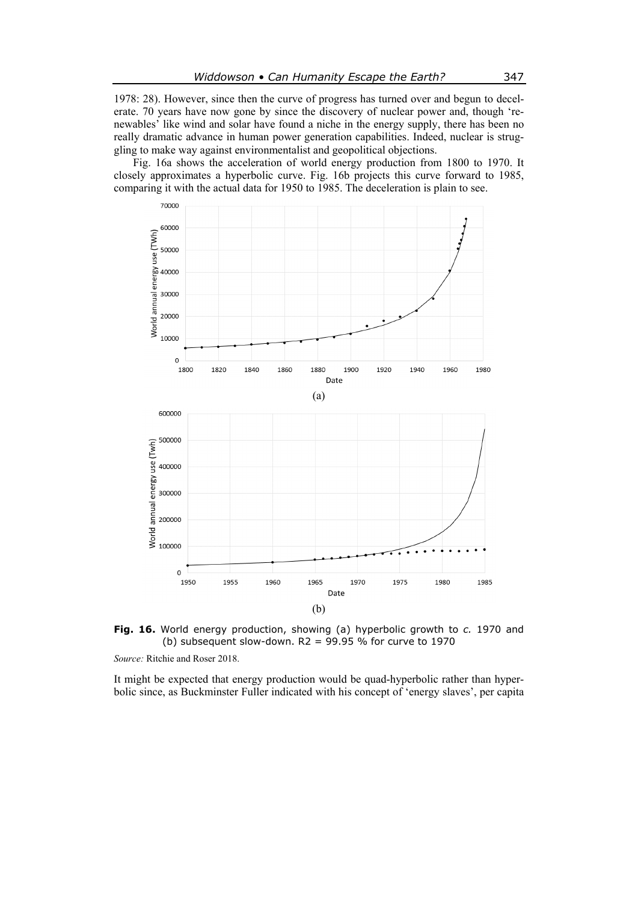1978: 28). However, since then the curve of progress has turned over and begun to decelerate. 70 years have now gone by since the discovery of nuclear power and, though 'renewables' like wind and solar have found a niche in the energy supply, there has been no really dramatic advance in human power generation capabilities. Indeed, nuclear is struggling to make way against environmentalist and geopolitical objections.

Fig. 16a shows the acceleration of world energy production from 1800 to 1970. It closely approximates a hyperbolic curve. Fig. 16b projects this curve forward to 1985, comparing it with the actual data for 1950 to 1985. The deceleration is plain to see.



**Fig. 16.** World energy production, showing (a) hyperbolic growth to *c.* 1970 and (b) subsequent slow-down.  $R2 = 99.95 %$  for curve to 1970

*Source:* Ritchie and Roser 2018.

It might be expected that energy production would be quad-hyperbolic rather than hyperbolic since, as Buckminster Fuller indicated with his concept of 'energy slaves', per capita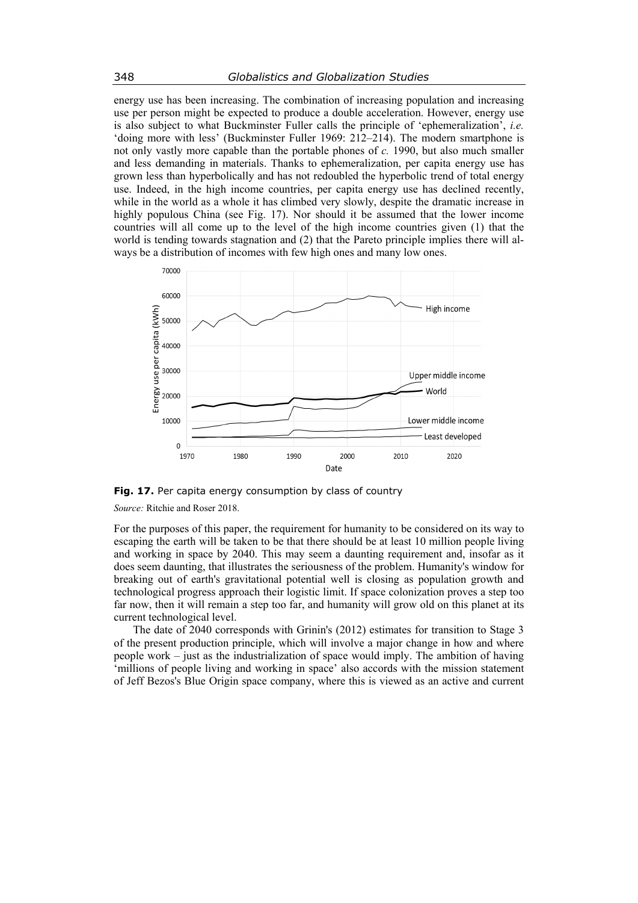energy use has been increasing. The combination of increasing population and increasing use per person might be expected to produce a double acceleration. However, energy use is also subject to what Buckminster Fuller calls the principle of 'ephemeralization', *i.e.* 'doing more with less' (Buckminster Fuller 1969: 212–214). The modern smartphone is not only vastly more capable than the portable phones of *c.* 1990, but also much smaller and less demanding in materials. Thanks to ephemeralization, per capita energy use has grown less than hyperbolically and has not redoubled the hyperbolic trend of total energy use. Indeed, in the high income countries, per capita energy use has declined recently, while in the world as a whole it has climbed very slowly, despite the dramatic increase in highly populous China (see Fig. 17). Nor should it be assumed that the lower income countries will all come up to the level of the high income countries given (1) that the world is tending towards stagnation and (2) that the Pareto principle implies there will always be a distribution of incomes with few high ones and many low ones.



Fig. 17. Per capita energy consumption by class of country

*Source:* Ritchie and Roser 2018.

For the purposes of this paper, the requirement for humanity to be considered on its way to escaping the earth will be taken to be that there should be at least 10 million people living and working in space by 2040. This may seem a daunting requirement and, insofar as it does seem daunting, that illustrates the seriousness of the problem. Humanity's window for breaking out of earth's gravitational potential well is closing as population growth and technological progress approach their logistic limit. If space colonization proves a step too far now, then it will remain a step too far, and humanity will grow old on this planet at its current technological level.

The date of 2040 corresponds with Grinin's (2012) estimates for transition to Stage 3 of the present production principle, which will involve a major change in how and where people work – just as the industrialization of space would imply. The ambition of having 'millions of people living and working in space' also accords with the mission statement of Jeff Bezos's Blue Origin space company, where this is viewed as an active and current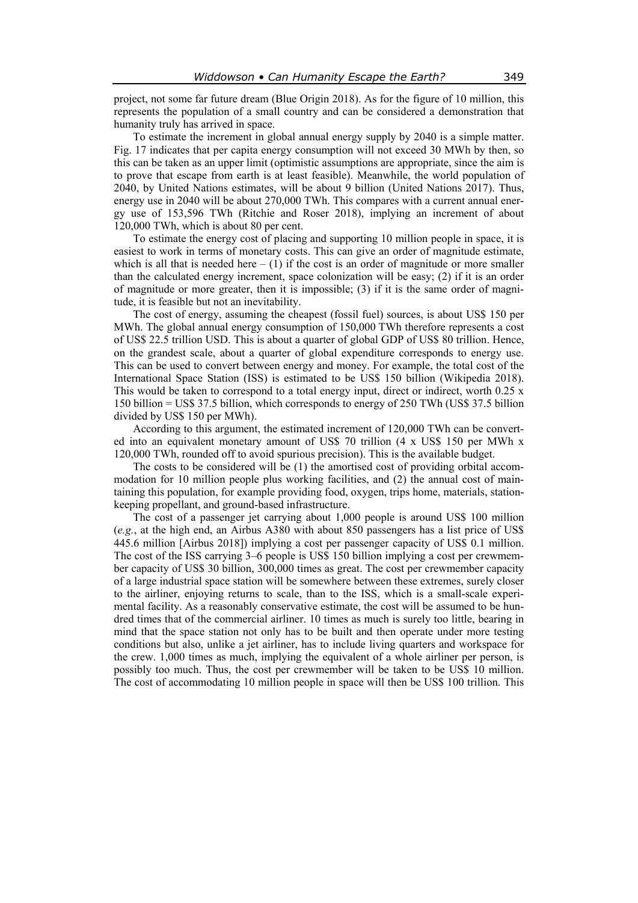project, not some far future dream (Blue Origin 2018). As for the figure of 10 million, this represents the population of a small country and can be considered a demonstration that humanity truly has arrived in space.

To estimate the increment in global annual energy supply by 2040 is a simple matter. Fig. 17 indicates that per capita energy consumption will not exceed 30 MWh by then, so this can be taken as an upper limit (optimistic assumptions are appropriate, since the aim is to prove that escape from earth is at least feasible). Meanwhile, the world population of 2040, by United Nations estimates, will be about 9 billion (United Nations 2017). Thus, energy use in 2040 will be about 270,000 TWh. This compares with a current annual energy use of 153,596 TWh (Ritchie and Roser 2018), implying an increment of about 120,000 TWh, which is about 80 per cent.

To estimate the energy cost of placing and supporting 10 million people in space, it is easiest to work in terms of monetary costs. This can give an order of magnitude estimate, which is all that is needed here  $- (1)$  if the cost is an order of magnitude or more smaller than the calculated energy increment, space colonization will be easy; (2) if it is an order of magnitude or more greater, then it is impossible;  $(3)$  if it is the same order of magnitude, it is feasible but not an inevitability.

The cost of energy, assuming the cheapest (fossil fuel) sources, is about US\$ 150 per MWh. The global annual energy consumption of 150,000 TWh therefore represents a cost of US\$ 22.5 trillion USD. This is about a quarter of global GDP of US\$ 80 trillion. Hence, on the grandest scale, about a quarter of global expenditure corresponds to energy use. This can be used to convert between energy and money. For example, the total cost of the International Space Station (ISS) is estimated to be US\$ 150 billion (Wikipedia 2018). This would be taken to correspond to a total energy input, direct or indirect, worth 0.25 x 150 billion = US\$ 37.5 billion, which corresponds to energy of 250 TWh (US\$ 37.5 billion divided by US\$ 150 per MWh).

According to this argument, the estimated increment of 120,000 TWh can be converted into an equivalent monetary amount of US\$ 70 trillion (4 x US\$ 150 per MWh x 120,000 TWh, rounded off to avoid spurious precision). This is the available budget.

The costs to be considered will be (1) the amortised cost of providing orbital accommodation for 10 million people plus working facilities, and (2) the annual cost of maintaining this population, for example providing food, oxygen, trips home, materials, stationkeeping propellant, and ground-based infrastructure.

The cost of a passenger jet carrying about 1,000 people is around US\$ 100 million (*e.g.*, at the high end, an Airbus A380 with about 850 passengers has a list price of US\$ 445.6 million [Airbus 2018]) implying a cost per passenger capacity of US\$ 0.1 million. The cost of the ISS carrying 3–6 people is US\$ 150 billion implying a cost per crewmember capacity of US\$ 30 billion, 300,000 times as great. The cost per crewmember capacity of a large industrial space station will be somewhere between these extremes, surely closer to the airliner, enjoying returns to scale, than to the ISS, which is a small-scale experimental facility. As a reasonably conservative estimate, the cost will be assumed to be hundred times that of the commercial airliner. 10 times as much is surely too little, bearing in mind that the space station not only has to be built and then operate under more testing conditions but also, unlike a jet airliner, has to include living quarters and workspace for the crew. 1,000 times as much, implying the equivalent of a whole airliner per person, is possibly too much. Thus, the cost per crewmember will be taken to be US\$ 10 million. The cost of accommodating 10 million people in space will then be US\$ 100 trillion. This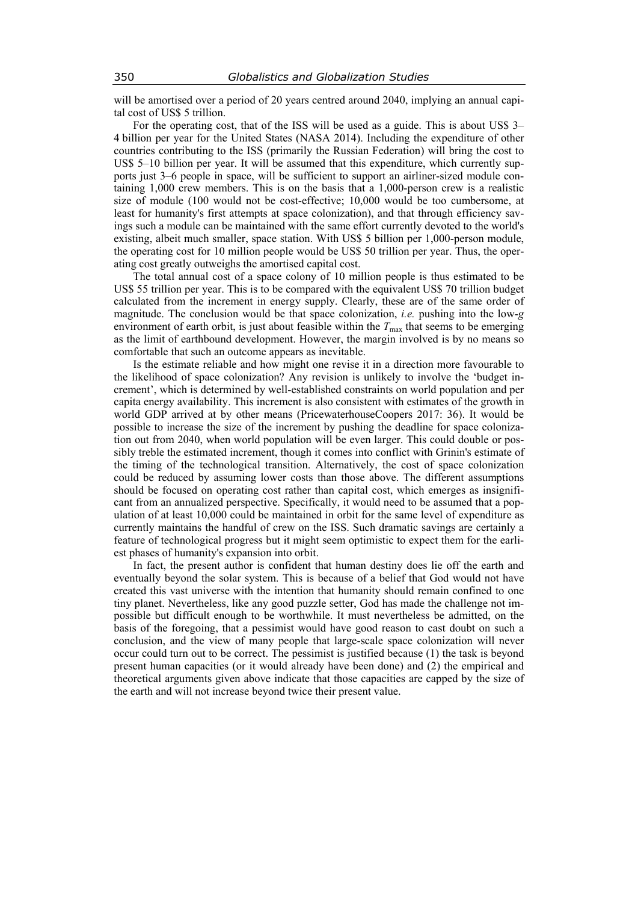will be amortised over a period of 20 years centred around 2040, implying an annual capital cost of US\$ 5 trillion.

For the operating cost, that of the ISS will be used as a guide. This is about US\$ 3– 4 billion per year for the United States (NASA 2014). Including the expenditure of other countries contributing to the ISS (primarily the Russian Federation) will bring the cost to US\$ 5–10 billion per year. It will be assumed that this expenditure, which currently supports just 3–6 people in space, will be sufficient to support an airliner-sized module containing 1,000 crew members. This is on the basis that a 1,000-person crew is a realistic size of module (100 would not be cost-effective; 10,000 would be too cumbersome, at least for humanity's first attempts at space colonization), and that through efficiency savings such a module can be maintained with the same effort currently devoted to the world's existing, albeit much smaller, space station. With US\$ 5 billion per 1,000-person module, the operating cost for 10 million people would be US\$ 50 trillion per year. Thus, the operating cost greatly outweighs the amortised capital cost.

The total annual cost of a space colony of 10 million people is thus estimated to be US\$ 55 trillion per year. This is to be compared with the equivalent US\$ 70 trillion budget calculated from the increment in energy supply. Clearly, these are of the same order of magnitude. The conclusion would be that space colonization, *i.e.* pushing into the low-*g* environment of earth orbit, is just about feasible within the  $T_{\text{max}}$  that seems to be emerging as the limit of earthbound development. However, the margin involved is by no means so comfortable that such an outcome appears as inevitable.

Is the estimate reliable and how might one revise it in a direction more favourable to the likelihood of space colonization? Any revision is unlikely to involve the 'budget increment', which is determined by well-established constraints on world population and per capita energy availability. This increment is also consistent with estimates of the growth in world GDP arrived at by other means (PricewaterhouseCoopers 2017: 36). It would be possible to increase the size of the increment by pushing the deadline for space colonization out from 2040, when world population will be even larger. This could double or possibly treble the estimated increment, though it comes into conflict with Grinin's estimate of the timing of the technological transition. Alternatively, the cost of space colonization could be reduced by assuming lower costs than those above. The different assumptions should be focused on operating cost rather than capital cost, which emerges as insignificant from an annualized perspective. Specifically, it would need to be assumed that a population of at least 10,000 could be maintained in orbit for the same level of expenditure as currently maintains the handful of crew on the ISS. Such dramatic savings are certainly a feature of technological progress but it might seem optimistic to expect them for the earliest phases of humanity's expansion into orbit.

In fact, the present author is confident that human destiny does lie off the earth and eventually beyond the solar system. This is because of a belief that God would not have created this vast universe with the intention that humanity should remain confined to one tiny planet. Nevertheless, like any good puzzle setter, God has made the challenge not impossible but difficult enough to be worthwhile. It must nevertheless be admitted, on the basis of the foregoing, that a pessimist would have good reason to cast doubt on such a conclusion, and the view of many people that large-scale space colonization will never occur could turn out to be correct. The pessimist is justified because (1) the task is beyond present human capacities (or it would already have been done) and (2) the empirical and theoretical arguments given above indicate that those capacities are capped by the size of the earth and will not increase beyond twice their present value.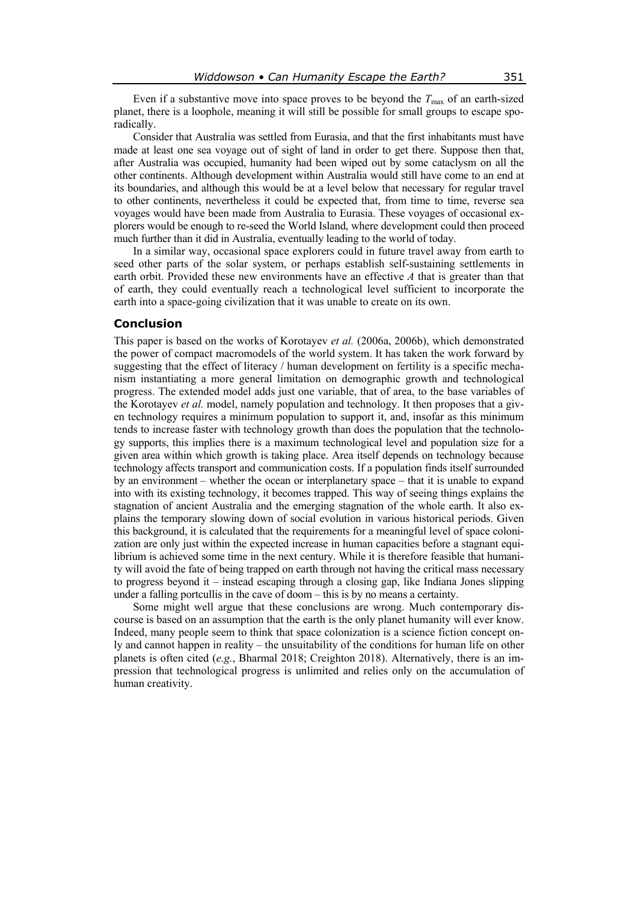Even if a substantive move into space proves to be beyond the  $T_{\text{max}}$  of an earth-sized planet, there is a loophole, meaning it will still be possible for small groups to escape sporadically.

Consider that Australia was settled from Eurasia, and that the first inhabitants must have made at least one sea voyage out of sight of land in order to get there. Suppose then that, after Australia was occupied, humanity had been wiped out by some cataclysm on all the other continents. Although development within Australia would still have come to an end at its boundaries, and although this would be at a level below that necessary for regular travel to other continents, nevertheless it could be expected that, from time to time, reverse sea voyages would have been made from Australia to Eurasia. These voyages of occasional explorers would be enough to re-seed the World Island, where development could then proceed much further than it did in Australia, eventually leading to the world of today.

In a similar way, occasional space explorers could in future travel away from earth to seed other parts of the solar system, or perhaps establish self-sustaining settlements in earth orbit. Provided these new environments have an effective *A* that is greater than that of earth, they could eventually reach a technological level sufficient to incorporate the earth into a space-going civilization that it was unable to create on its own.

## **Conclusion**

This paper is based on the works of Korotayev *et al.* (2006a, 2006b), which demonstrated the power of compact macromodels of the world system. It has taken the work forward by suggesting that the effect of literacy / human development on fertility is a specific mechanism instantiating a more general limitation on demographic growth and technological progress. The extended model adds just one variable, that of area, to the base variables of the Korotayev *et al.* model, namely population and technology. It then proposes that a given technology requires a minimum population to support it, and, insofar as this minimum tends to increase faster with technology growth than does the population that the technology supports, this implies there is a maximum technological level and population size for a given area within which growth is taking place. Area itself depends on technology because technology affects transport and communication costs. If a population finds itself surrounded by an environment – whether the ocean or interplanetary space – that it is unable to expand into with its existing technology, it becomes trapped. This way of seeing things explains the stagnation of ancient Australia and the emerging stagnation of the whole earth. It also explains the temporary slowing down of social evolution in various historical periods. Given this background, it is calculated that the requirements for a meaningful level of space colonization are only just within the expected increase in human capacities before a stagnant equilibrium is achieved some time in the next century. While it is therefore feasible that humanity will avoid the fate of being trapped on earth through not having the critical mass necessary to progress beyond it – instead escaping through a closing gap, like Indiana Jones slipping under a falling portcullis in the cave of doom – this is by no means a certainty.

Some might well argue that these conclusions are wrong. Much contemporary discourse is based on an assumption that the earth is the only planet humanity will ever know. Indeed, many people seem to think that space colonization is a science fiction concept only and cannot happen in reality – the unsuitability of the conditions for human life on other planets is often cited (*e.g.*, Bharmal 2018; Creighton 2018). Alternatively, there is an impression that technological progress is unlimited and relies only on the accumulation of human creativity.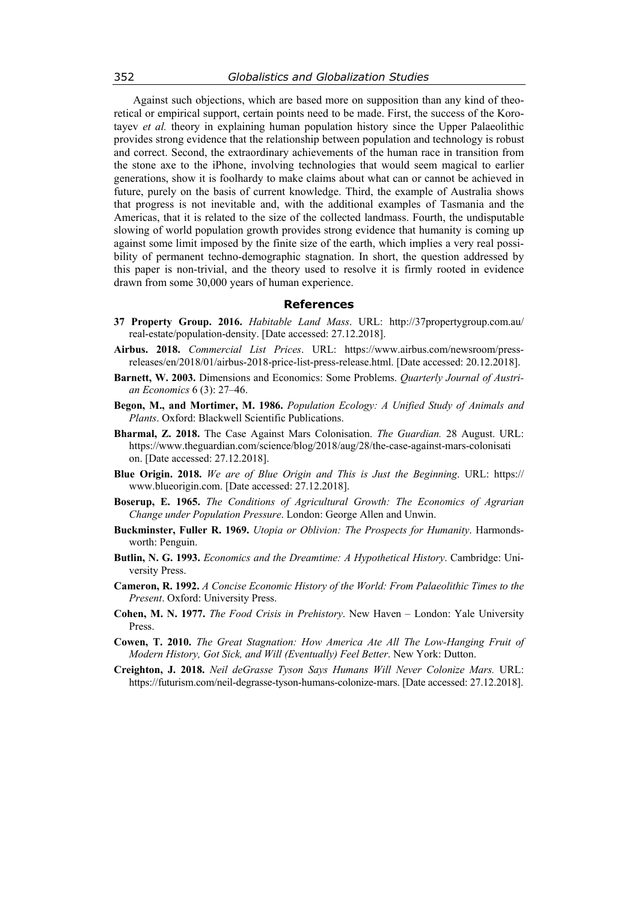Against such objections, which are based more on supposition than any kind of theoretical or empirical support, certain points need to be made. First, the success of the Korotayev *et al.* theory in explaining human population history since the Upper Palaeolithic provides strong evidence that the relationship between population and technology is robust and correct. Second, the extraordinary achievements of the human race in transition from the stone axe to the iPhone, involving technologies that would seem magical to earlier generations, show it is foolhardy to make claims about what can or cannot be achieved in future, purely on the basis of current knowledge. Third, the example of Australia shows that progress is not inevitable and, with the additional examples of Tasmania and the Americas, that it is related to the size of the collected landmass. Fourth, the undisputable slowing of world population growth provides strong evidence that humanity is coming up against some limit imposed by the finite size of the earth, which implies a very real possibility of permanent techno-demographic stagnation. In short, the question addressed by this paper is non-trivial, and the theory used to resolve it is firmly rooted in evidence drawn from some 30,000 years of human experience.

#### **References**

- **37 Property Group. 2016.** *Habitable Land Mass*. URL: http://37propertygroup.com.au/ real-estate/population-density. [Date accessed: 27.12.2018].
- **Airbus. 2018.** *Commercial List Prices*. URL: https://www.airbus.com/newsroom/pressreleases/en/2018/01/airbus-2018-price-list-press-release.html. [Date accessed: 20.12.2018].
- **Barnett, W. 2003.** Dimensions and Economics: Some Problems. *Quarterly Journal of Austrian Economics* 6 (3): 27–46.
- **Begon, M., and Mortimer, M. 1986.** *Population Ecology: A Unified Study of Animals and Plants*. Oxford: Blackwell Scientific Publications.
- **Bharmal, Z. 2018.** The Case Against Mars Colonisation. *The Guardian.* 28 August. URL: https://www.theguardian.com/science/blog/2018/aug/28/the-case-against-mars-colonisati on. [Date accessed: 27.12.2018].
- **Blue Origin. 2018.** *We are of Blue Origin and This is Just the Beginning*. URL: https:// www.blueorigin.com. [Date accessed: 27.12.2018].
- **Boserup, E. 1965.** *The Conditions of Agricultural Growth: The Economics of Agrarian Change under Population Pressure*. London: George Allen and Unwin.
- **Buckminster, Fuller R. 1969.** *Utopia or Oblivion: The Prospects for Humanity*. Harmondsworth: Penguin.
- **Butlin, N. G. 1993.** *Economics and the Dreamtime: A Hypothetical History*. Cambridge: University Press.
- **Cameron, R. 1992.** *A Concise Economic History of the World: From Palaeolithic Times to the Present*. Oxford: University Press.
- **Cohen, M. N. 1977.** *The Food Crisis in Prehistory*. New Haven London: Yale University Press.
- **Cowen, T. 2010.** *The Great Stagnation: How America Ate All The Low-Hanging Fruit of Modern History, Got Sick, and Will (Eventually) Feel Better*. New York: Dutton.
- **Creighton, J. 2018.** *Neil deGrasse Tyson Says Humans Will Never Colonize Mars.* URL: https://futurism.com/neil-degrasse-tyson-humans-colonize-mars. [Date accessed: 27.12.2018].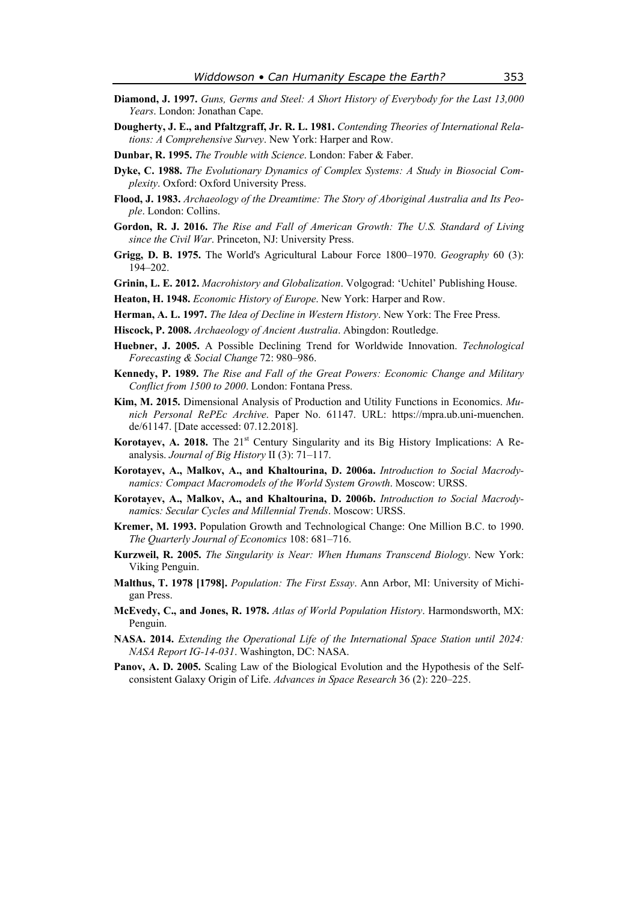- **Diamond, J. 1997.** *Guns, Germs and Steel: A Short History of Everybody for the Last 13,000 Years*. London: Jonathan Cape.
- **Dougherty, J. E., and Pfaltzgraff, Jr. R. L. 1981.** *Contending Theories of International Relations: A Comprehensive Survey*. New York: Harper and Row.
- **Dunbar, R. 1995.** *The Trouble with Science*. London: Faber & Faber.
- **Dyke, C. 1988.** *The Evolutionary Dynamics of Complex Systems: A Study in Biosocial Complexity*. Oxford: Oxford University Press.
- **Flood, J. 1983.** *Archaeology of the Dreamtime: The Story of Aboriginal Australia and Its People*. London: Collins.
- **Gordon, R. J. 2016.** *The Rise and Fall of American Growth: The U.S. Standard of Living since the Civil War*. Princeton, NJ: University Press.
- **Grigg, D. B. 1975.** The World's Agricultural Labour Force 1800–1970. *Geography* 60 (3): 194–202.
- **Grinin, L. E. 2012.** *Macrohistory and Globalization*. Volgograd: 'Uchitel' Publishing House.
- **Heaton, H. 1948.** *Economic History of Europe*. New York: Harper and Row.
- **Herman, A. L. 1997.** *The Idea of Decline in Western History*. New York: The Free Press.
- **Hiscock, P. 2008.** *Archaeology of Ancient Australia*. Abingdon: Routledge.
- **Huebner, J. 2005.** A Possible Declining Trend for Worldwide Innovation. *Technological Forecasting & Social Change* 72: 980–986.
- **Kennedy, P. 1989.** *The Rise and Fall of the Great Powers: Economic Change and Military Conflict from 1500 to 2000*. London: Fontana Press.
- **Kim, M. 2015.** Dimensional Analysis of Production and Utility Functions in Economics. *Munich Personal RePEc Archive*. Paper No. 61147. URL: https://mpra.ub.uni-muenchen. de/61147. [Date accessed: 07.12.2018].
- **Korotayev, A. 2018.** The 21<sup>st</sup> Century Singularity and its Big History Implications: A Reanalysis. *Journal of Big History* II (3): 71–117.
- **Korotayev, A., Malkov, A., and Khaltourina, D. 2006a.** *Introduction to Social Macrodynamics: Compact Macromodels of the World System Growth*. Moscow: URSS.
- **Korotayev, A., Malkov, A., and Khaltourina, D. 2006b.** *Introduction to Social Macrodynami*cs*: Secular Cycles and Millennial Trends*. Moscow: URSS.
- **Kremer, M. 1993.** Population Growth and Technological Change: One Million B.C. to 1990. *The Quarterly Journal of Economics* 108: 681–716.
- **Kurzweil, R. 2005.** *The Singularity is Near: When Humans Transcend Biology*. New York: Viking Penguin.
- **Malthus, T. 1978 [1798].** *Population: The First Essay*. Ann Arbor, MI: University of Michigan Press.
- **McEvedy, C., and Jones, R. 1978.** *Atlas of World Population History*. Harmondsworth, MX: Penguin.
- **NASA. 2014.** *Extending the Operational Life of the International Space Station until 2024: NASA Report IG-14-031*. Washington, DC: NASA.
- **Panov, A. D. 2005.** Scaling Law of the Biological Evolution and the Hypothesis of the Selfconsistent Galaxy Origin of Life. *Advances in Space Research* 36 (2): 220–225.